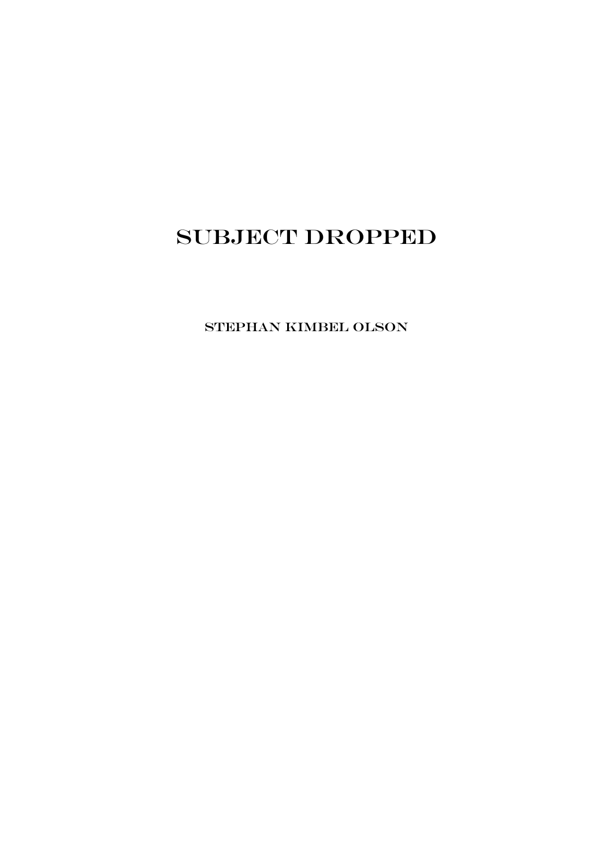# SUBJECT DROPPED

Stephan Kimbel Olson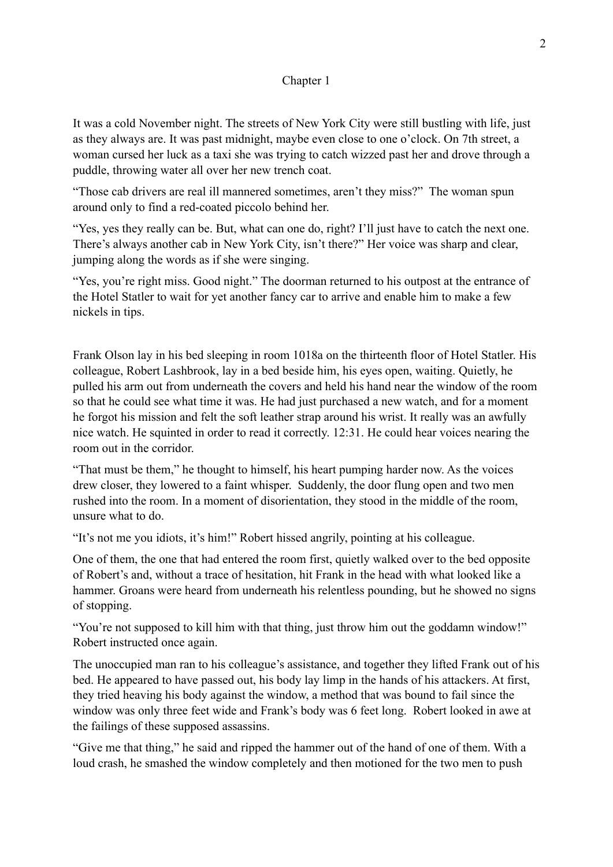# Chapter 1

It was a cold November night. The streets of New York City were still bustling with life, just as they always are. It was past midnight, maybe even close to one o'clock. On 7th street, a woman cursed her luck as a taxi she was trying to catch wizzed past her and drove through a puddle, throwing water all over her new trench coat.

"Those cab drivers are real ill mannered sometimes, aren't they miss?" The woman spun around only to find a red-coated piccolo behind her.

"Yes, yes they really can be. But, what can one do, right? I'll just have to catch the next one. There's always another cab in New York City, isn't there?" Her voice was sharp and clear, jumping along the words as if she were singing.

"Yes, you're right miss. Good night." The doorman returned to his outpost at the entrance of the Hotel Statler to wait for yet another fancy car to arrive and enable him to make a few nickels in tips.

Frank Olson lay in his bed sleeping in room 1018a on the thirteenth floor of Hotel Statler. His colleague, Robert Lashbrook, lay in a bed beside him, his eyes open, waiting. Quietly, he pulled his arm out from underneath the covers and held his hand near the window of the room so that he could see what time it was. He had just purchased a new watch, and for a moment he forgot his mission and felt the soft leather strap around his wrist. It really was an awfully nice watch. He squinted in order to read it correctly. 12:31. He could hear voices nearing the room out in the corridor.

"That must be them," he thought to himself, his heart pumping harder now. As the voices drew closer, they lowered to a faint whisper. Suddenly, the door flung open and two men rushed into the room. In a moment of disorientation, they stood in the middle of the room, unsure what to do.

"It's not me you idiots, it's him!" Robert hissed angrily, pointing at his colleague.

One of them, the one that had entered the room first, quietly walked over to the bed opposite of Robert's and, without a trace of hesitation, hit Frank in the head with what looked like a hammer. Groans were heard from underneath his relentless pounding, but he showed no signs of stopping.

"You're not supposed to kill him with that thing, just throw him out the goddamn window!" Robert instructed once again.

The unoccupied man ran to his colleague's assistance, and together they lifted Frank out of his bed. He appeared to have passed out, his body lay limp in the hands of his attackers. At first, they tried heaving his body against the window, a method that was bound to fail since the window was only three feet wide and Frank's body was 6 feet long. Robert looked in awe at the failings of these supposed assassins.

"Give me that thing," he said and ripped the hammer out of the hand of one of them. With a loud crash, he smashed the window completely and then motioned for the two men to push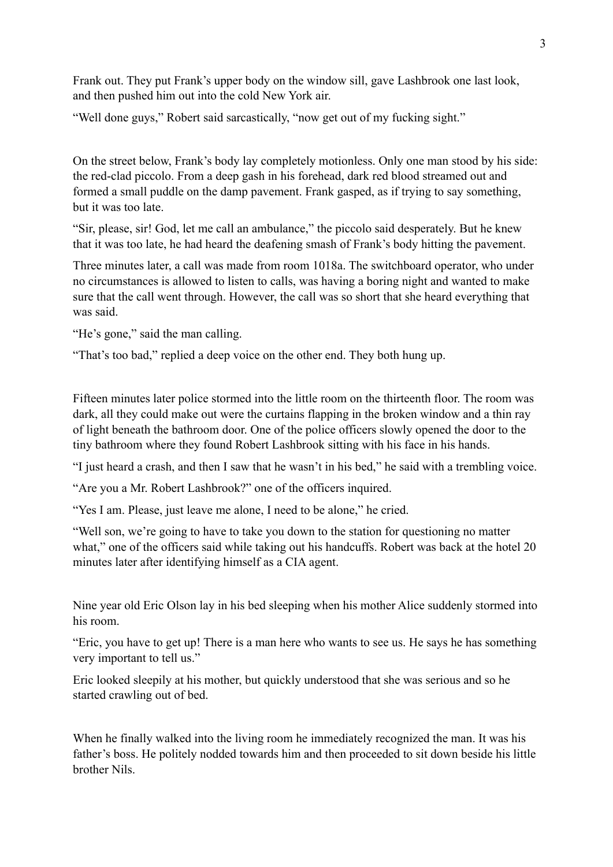Frank out. They put Frank's upper body on the window sill, gave Lashbrook one last look, and then pushed him out into the cold New York air.

"Well done guys," Robert said sarcastically, "now get out of my fucking sight."

On the street below, Frank's body lay completely motionless. Only one man stood by his side: the red-clad piccolo. From a deep gash in his forehead, dark red blood streamed out and formed a small puddle on the damp pavement. Frank gasped, as if trying to say something, but it was too late.

"Sir, please, sir! God, let me call an ambulance," the piccolo said desperately. But he knew that it was too late, he had heard the deafening smash of Frank's body hitting the pavement.

Three minutes later, a call was made from room 1018a. The switchboard operator, who under no circumstances is allowed to listen to calls, was having a boring night and wanted to make sure that the call went through. However, the call was so short that she heard everything that was said.

"He's gone," said the man calling.

"That's too bad," replied a deep voice on the other end. They both hung up.

Fifteen minutes later police stormed into the little room on the thirteenth floor. The room was dark, all they could make out were the curtains flapping in the broken window and a thin ray of light beneath the bathroom door. One of the police officers slowly opened the door to the tiny bathroom where they found Robert Lashbrook sitting with his face in his hands.

"I just heard a crash, and then I saw that he wasn't in his bed," he said with a trembling voice.

"Are you a Mr. Robert Lashbrook?" one of the officers inquired.

"Yes I am. Please, just leave me alone, I need to be alone," he cried.

"Well son, we're going to have to take you down to the station for questioning no matter what," one of the officers said while taking out his handcuffs. Robert was back at the hotel 20 minutes later after identifying himself as a CIA agent.

Nine year old Eric Olson lay in his bed sleeping when his mother Alice suddenly stormed into his room.

"Eric, you have to get up! There is a man here who wants to see us. He says he has something very important to tell us."

Eric looked sleepily at his mother, but quickly understood that she was serious and so he started crawling out of bed.

When he finally walked into the living room he immediately recognized the man. It was his father's boss. He politely nodded towards him and then proceeded to sit down beside his little brother Nils.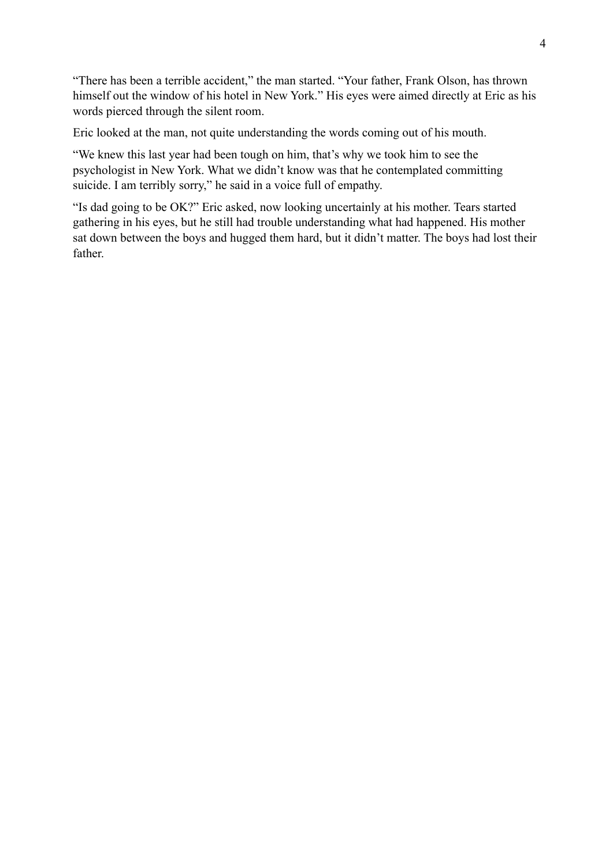"There has been a terrible accident," the man started. "Your father, Frank Olson, has thrown himself out the window of his hotel in New York." His eyes were aimed directly at Eric as his words pierced through the silent room.

Eric looked at the man, not quite understanding the words coming out of his mouth.

"We knew this last year had been tough on him, that's why we took him to see the psychologist in New York. What we didn't know was that he contemplated committing suicide. I am terribly sorry," he said in a voice full of empathy.

"Is dad going to be OK?" Eric asked, now looking uncertainly at his mother. Tears started gathering in his eyes, but he still had trouble understanding what had happened. His mother sat down between the boys and hugged them hard, but it didn't matter. The boys had lost their father.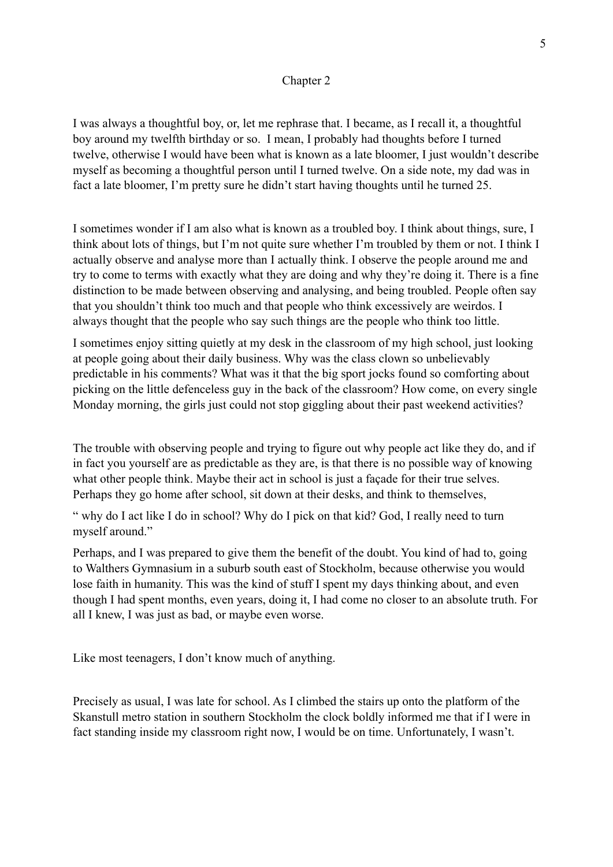### Chapter 2

I was always a thoughtful boy, or, let me rephrase that. I became, as I recall it, a thoughtful boy around my twelfth birthday or so. I mean, I probably had thoughts before I turned twelve, otherwise I would have been what is known as a late bloomer, I just wouldn't describe myself as becoming a thoughtful person until I turned twelve. On a side note, my dad was in fact a late bloomer, I'm pretty sure he didn't start having thoughts until he turned 25.

I sometimes wonder if I am also what is known as a troubled boy. I think about things, sure, I think about lots of things, but I'm not quite sure whether I'm troubled by them or not. I think I actually observe and analyse more than I actually think. I observe the people around me and try to come to terms with exactly what they are doing and why they're doing it. There is a fine distinction to be made between observing and analysing, and being troubled. People often say that you shouldn't think too much and that people who think excessively are weirdos. I always thought that the people who say such things are the people who think too little.

I sometimes enjoy sitting quietly at my desk in the classroom of my high school, just looking at people going about their daily business. Why was the class clown so unbelievably predictable in his comments? What was it that the big sport jocks found so comforting about picking on the little defenceless guy in the back of the classroom? How come, on every single Monday morning, the girls just could not stop giggling about their past weekend activities?

The trouble with observing people and trying to figure out why people act like they do, and if in fact you yourself are as predictable as they are, is that there is no possible way of knowing what other people think. Maybe their act in school is just a façade for their true selves. Perhaps they go home after school, sit down at their desks, and think to themselves,

" why do I act like I do in school? Why do I pick on that kid? God, I really need to turn myself around."

Perhaps, and I was prepared to give them the benefit of the doubt. You kind of had to, going to Walthers Gymnasium in a suburb south east of Stockholm, because otherwise you would lose faith in humanity. This was the kind of stuff I spent my days thinking about, and even though I had spent months, even years, doing it, I had come no closer to an absolute truth. For all I knew, I was just as bad, or maybe even worse.

Like most teenagers, I don't know much of anything.

Precisely as usual, I was late for school. As I climbed the stairs up onto the platform of the Skanstull metro station in southern Stockholm the clock boldly informed me that if I were in fact standing inside my classroom right now, I would be on time. Unfortunately, I wasn't.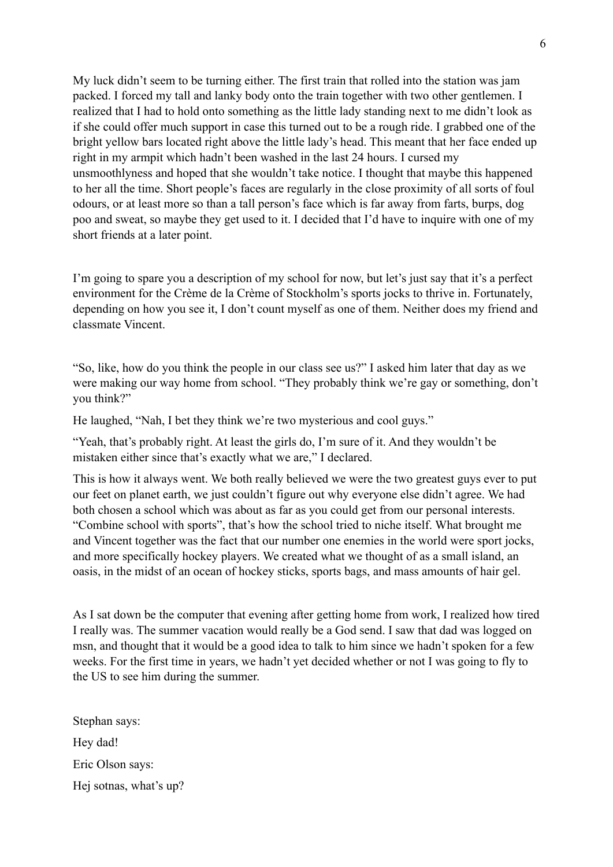My luck didn't seem to be turning either. The first train that rolled into the station was jam packed. I forced my tall and lanky body onto the train together with two other gentlemen. I realized that I had to hold onto something as the little lady standing next to me didn't look as if she could offer much support in case this turned out to be a rough ride. I grabbed one of the bright yellow bars located right above the little lady's head. This meant that her face ended up right in my armpit which hadn't been washed in the last 24 hours. I cursed my unsmoothlyness and hoped that she wouldn't take notice. I thought that maybe this happened to her all the time. Short people's faces are regularly in the close proximity of all sorts of foul odours, or at least more so than a tall person's face which is far away from farts, burps, dog poo and sweat, so maybe they get used to it. I decided that I'd have to inquire with one of my short friends at a later point.

I'm going to spare you a description of my school for now, but let's just say that it's a perfect environment for the Crème de la Crème of Stockholm's sports jocks to thrive in. Fortunately, depending on how you see it, I don't count myself as one of them. Neither does my friend and classmate Vincent.

"So, like, how do you think the people in our class see us?" I asked him later that day as we were making our way home from school. "They probably think we're gay or something, don't you think?"

He laughed, "Nah, I bet they think we're two mysterious and cool guys."

"Yeah, that's probably right. At least the girls do, I'm sure of it. And they wouldn't be mistaken either since that's exactly what we are," I declared.

This is how it always went. We both really believed we were the two greatest guys ever to put our feet on planet earth, we just couldn't figure out why everyone else didn't agree. We had both chosen a school which was about as far as you could get from our personal interests. "Combine school with sports", that's how the school tried to niche itself. What brought me and Vincent together was the fact that our number one enemies in the world were sport jocks, and more specifically hockey players. We created what we thought of as a small island, an oasis, in the midst of an ocean of hockey sticks, sports bags, and mass amounts of hair gel.

As I sat down be the computer that evening after getting home from work, I realized how tired I really was. The summer vacation would really be a God send. I saw that dad was logged on msn, and thought that it would be a good idea to talk to him since we hadn't spoken for a few weeks. For the first time in years, we hadn't yet decided whether or not I was going to fly to the US to see him during the summer.

Stephan says: Hey dad! Eric Olson says: Hej sotnas, what's up?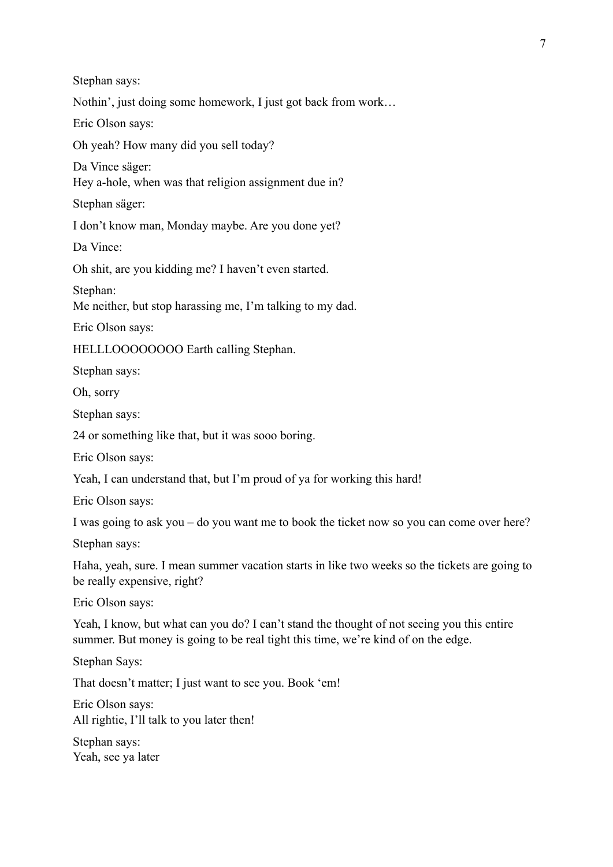7

Stephan says:

Nothin', just doing some homework, I just got back from work…

Eric Olson says:

Oh yeah? How many did you sell today?

Da Vince säger:

Hey a-hole, when was that religion assignment due in?

Stephan säger:

I don't know man, Monday maybe. Are you done yet?

Da Vince:

Oh shit, are you kidding me? I haven't even started.

Stephan:

Me neither, but stop harassing me, I'm talking to my dad.

Eric Olson says:

HELLLOOOOOOOO Earth calling Stephan.

Stephan says:

Oh, sorry

Stephan says:

24 or something like that, but it was sooo boring.

Eric Olson says:

Yeah, I can understand that, but I'm proud of ya for working this hard!

Eric Olson says:

I was going to ask you – do you want me to book the ticket now so you can come over here?

Stephan says:

Haha, yeah, sure. I mean summer vacation starts in like two weeks so the tickets are going to be really expensive, right?

Eric Olson says:

Yeah, I know, but what can you do? I can't stand the thought of not seeing you this entire summer. But money is going to be real tight this time, we're kind of on the edge.

Stephan Says:

That doesn't matter; I just want to see you. Book 'em!

Eric Olson says: All rightie, I'll talk to you later then!

Stephan says: Yeah, see ya later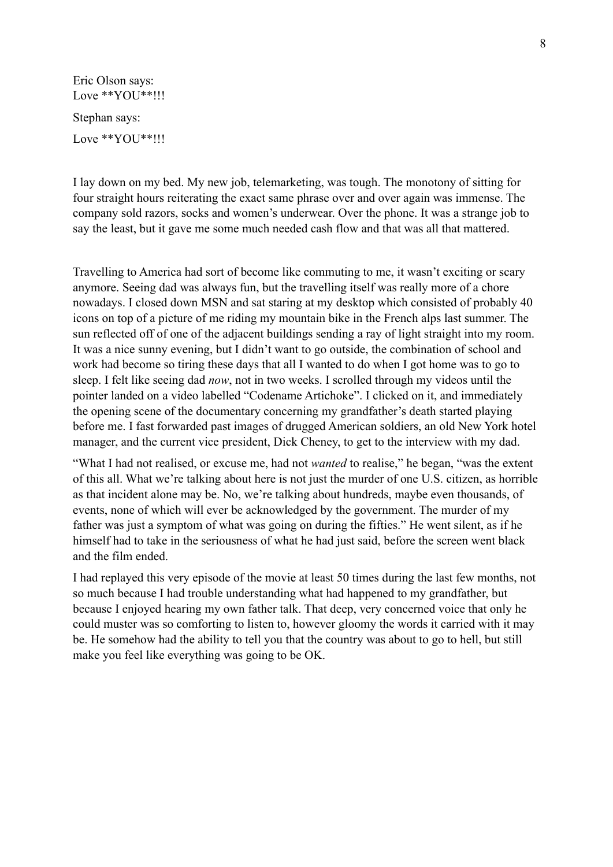Eric Olson says: Love \*\*YOU\*\*!!! Stephan says: Love \*\*YOU\*\*!!!

I lay down on my bed. My new job, telemarketing, was tough. The monotony of sitting for four straight hours reiterating the exact same phrase over and over again was immense. The company sold razors, socks and women's underwear. Over the phone. It was a strange job to say the least, but it gave me some much needed cash flow and that was all that mattered.

Travelling to America had sort of become like commuting to me, it wasn't exciting or scary anymore. Seeing dad was always fun, but the travelling itself was really more of a chore nowadays. I closed down MSN and sat staring at my desktop which consisted of probably 40 icons on top of a picture of me riding my mountain bike in the French alps last summer. The sun reflected off of one of the adjacent buildings sending a ray of light straight into my room. It was a nice sunny evening, but I didn't want to go outside, the combination of school and work had become so tiring these days that all I wanted to do when I got home was to go to sleep. I felt like seeing dad *now*, not in two weeks. I scrolled through my videos until the pointer landed on a video labelled "Codename Artichoke". I clicked on it, and immediately the opening scene of the documentary concerning my grandfather's death started playing before me. I fast forwarded past images of drugged American soldiers, an old New York hotel manager, and the current vice president, Dick Cheney, to get to the interview with my dad.

"What I had not realised, or excuse me, had not *wanted* to realise," he began, "was the extent of this all. What we're talking about here is not just the murder of one U.S. citizen, as horrible as that incident alone may be. No, we're talking about hundreds, maybe even thousands, of events, none of which will ever be acknowledged by the government. The murder of my father was just a symptom of what was going on during the fifties." He went silent, as if he himself had to take in the seriousness of what he had just said, before the screen went black and the film ended.

I had replayed this very episode of the movie at least 50 times during the last few months, not so much because I had trouble understanding what had happened to my grandfather, but because I enjoyed hearing my own father talk. That deep, very concerned voice that only he could muster was so comforting to listen to, however gloomy the words it carried with it may be. He somehow had the ability to tell you that the country was about to go to hell, but still make you feel like everything was going to be OK.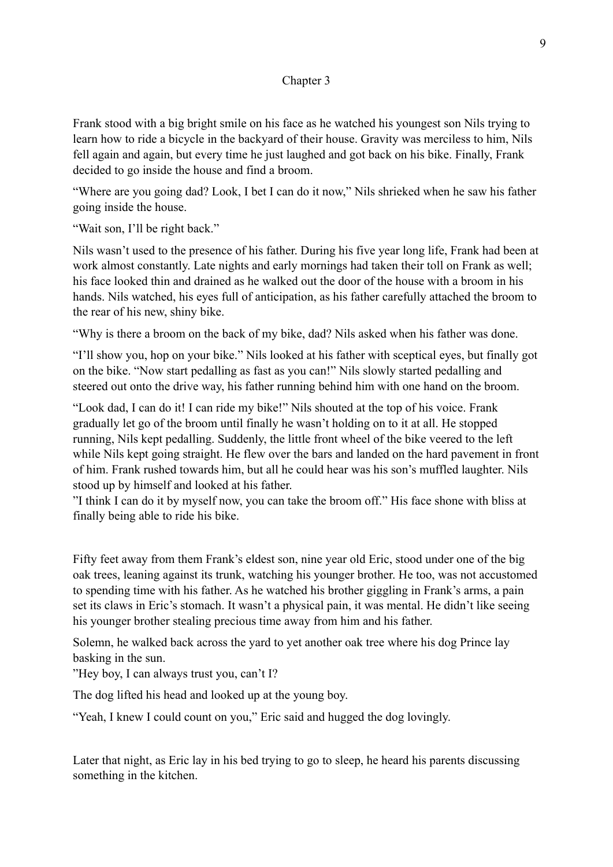# Chapter 3

Frank stood with a big bright smile on his face as he watched his youngest son Nils trying to learn how to ride a bicycle in the backyard of their house. Gravity was merciless to him, Nils fell again and again, but every time he just laughed and got back on his bike. Finally, Frank decided to go inside the house and find a broom.

"Where are you going dad? Look, I bet I can do it now," Nils shrieked when he saw his father going inside the house.

"Wait son, I'll be right back."

Nils wasn't used to the presence of his father. During his five year long life, Frank had been at work almost constantly. Late nights and early mornings had taken their toll on Frank as well; his face looked thin and drained as he walked out the door of the house with a broom in his hands. Nils watched, his eyes full of anticipation, as his father carefully attached the broom to the rear of his new, shiny bike.

"Why is there a broom on the back of my bike, dad? Nils asked when his father was done.

"I'll show you, hop on your bike." Nils looked at his father with sceptical eyes, but finally got on the bike. "Now start pedalling as fast as you can!" Nils slowly started pedalling and steered out onto the drive way, his father running behind him with one hand on the broom.

"Look dad, I can do it! I can ride my bike!" Nils shouted at the top of his voice. Frank gradually let go of the broom until finally he wasn't holding on to it at all. He stopped running, Nils kept pedalling. Suddenly, the little front wheel of the bike veered to the left while Nils kept going straight. He flew over the bars and landed on the hard pavement in front of him. Frank rushed towards him, but all he could hear was his son's muffled laughter. Nils stood up by himself and looked at his father.

"I think I can do it by myself now, you can take the broom off." His face shone with bliss at finally being able to ride his bike.

Fifty feet away from them Frank's eldest son, nine year old Eric, stood under one of the big oak trees, leaning against its trunk, watching his younger brother. He too, was not accustomed to spending time with his father. As he watched his brother giggling in Frank's arms, a pain set its claws in Eric's stomach. It wasn't a physical pain, it was mental. He didn't like seeing his younger brother stealing precious time away from him and his father.

Solemn, he walked back across the yard to yet another oak tree where his dog Prince lay basking in the sun.

"Hey boy, I can always trust you, can't I?

The dog lifted his head and looked up at the young boy.

"Yeah, I knew I could count on you," Eric said and hugged the dog lovingly.

Later that night, as Eric lay in his bed trying to go to sleep, he heard his parents discussing something in the kitchen.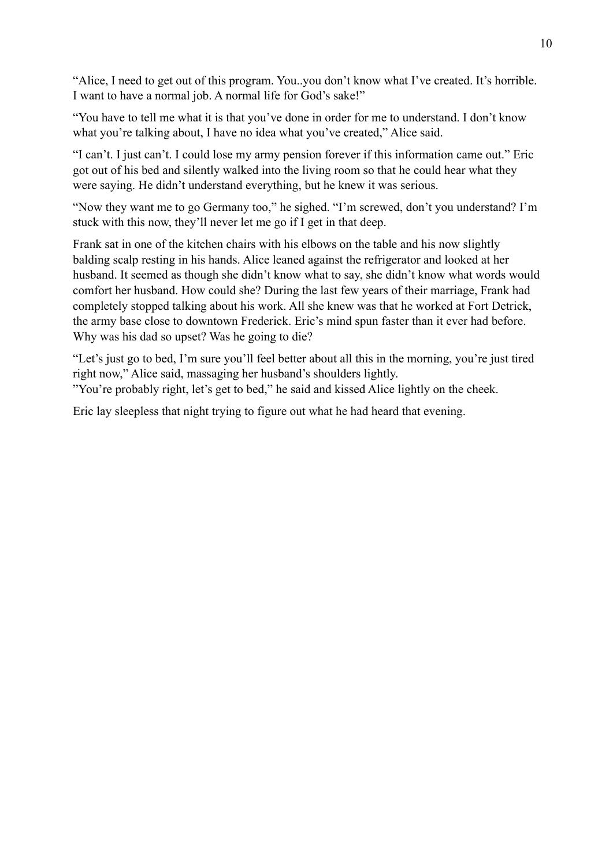"Alice, I need to get out of this program. You..you don't know what I've created. It's horrible. I want to have a normal job. A normal life for God's sake!"

"You have to tell me what it is that you've done in order for me to understand. I don't know what you're talking about. I have no idea what you've created," Alice said.

"I can't. I just can't. I could lose my army pension forever if this information came out." Eric got out of his bed and silently walked into the living room so that he could hear what they were saying. He didn't understand everything, but he knew it was serious.

"Now they want me to go Germany too," he sighed. "I'm screwed, don't you understand? I'm stuck with this now, they'll never let me go if I get in that deep.

Frank sat in one of the kitchen chairs with his elbows on the table and his now slightly balding scalp resting in his hands. Alice leaned against the refrigerator and looked at her husband. It seemed as though she didn't know what to say, she didn't know what words would comfort her husband. How could she? During the last few years of their marriage, Frank had completely stopped talking about his work. All she knew was that he worked at Fort Detrick, the army base close to downtown Frederick. Eric's mind spun faster than it ever had before. Why was his dad so upset? Was he going to die?

"Let's just go to bed, I'm sure you'll feel better about all this in the morning, you're just tired right now," Alice said, massaging her husband's shoulders lightly.

"You're probably right, let's get to bed," he said and kissed Alice lightly on the cheek.

Eric lay sleepless that night trying to figure out what he had heard that evening.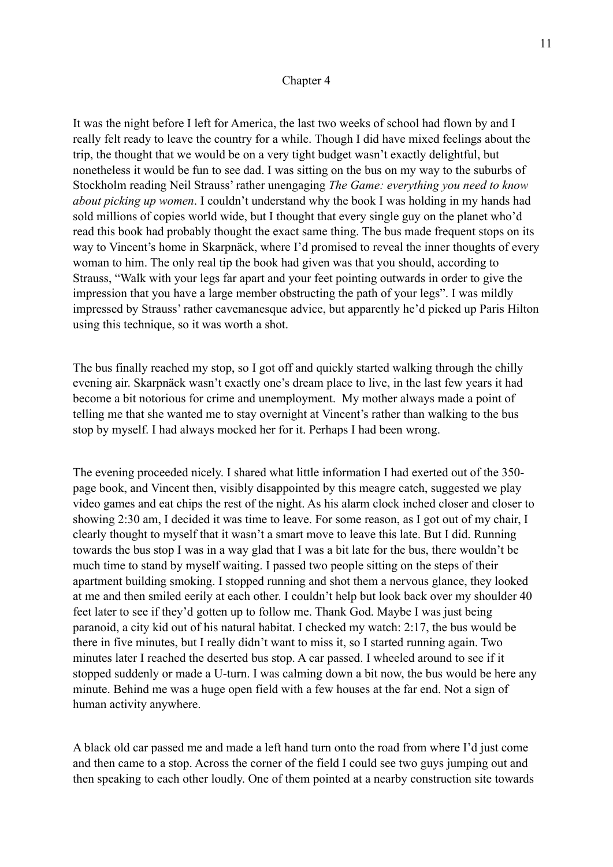#### Chapter 4

It was the night before I left for America, the last two weeks of school had flown by and I really felt ready to leave the country for a while. Though I did have mixed feelings about the trip, the thought that we would be on a very tight budget wasn't exactly delightful, but nonetheless it would be fun to see dad. I was sitting on the bus on my way to the suburbs of Stockholm reading Neil Strauss' rather unengaging *The Game: everything you need to know about picking up women*. I couldn't understand why the book I was holding in my hands had sold millions of copies world wide, but I thought that every single guy on the planet who'd read this book had probably thought the exact same thing. The bus made frequent stops on its way to Vincent's home in Skarpnäck, where I'd promised to reveal the inner thoughts of every woman to him. The only real tip the book had given was that you should, according to Strauss, "Walk with your legs far apart and your feet pointing outwards in order to give the impression that you have a large member obstructing the path of your legs". I was mildly impressed by Strauss' rather cavemanesque advice, but apparently he'd picked up Paris Hilton using this technique, so it was worth a shot.

The bus finally reached my stop, so I got off and quickly started walking through the chilly evening air. Skarpnäck wasn't exactly one's dream place to live, in the last few years it had become a bit notorious for crime and unemployment. My mother always made a point of telling me that she wanted me to stay overnight at Vincent's rather than walking to the bus stop by myself. I had always mocked her for it. Perhaps I had been wrong.

The evening proceeded nicely. I shared what little information I had exerted out of the 350 page book, and Vincent then, visibly disappointed by this meagre catch, suggested we play video games and eat chips the rest of the night. As his alarm clock inched closer and closer to showing 2:30 am, I decided it was time to leave. For some reason, as I got out of my chair, I clearly thought to myself that it wasn't a smart move to leave this late. But I did. Running towards the bus stop I was in a way glad that I was a bit late for the bus, there wouldn't be much time to stand by myself waiting. I passed two people sitting on the steps of their apartment building smoking. I stopped running and shot them a nervous glance, they looked at me and then smiled eerily at each other. I couldn't help but look back over my shoulder 40 feet later to see if they'd gotten up to follow me. Thank God. Maybe I was just being paranoid, a city kid out of his natural habitat. I checked my watch: 2:17, the bus would be there in five minutes, but I really didn't want to miss it, so I started running again. Two minutes later I reached the deserted bus stop. A car passed. I wheeled around to see if it stopped suddenly or made a U-turn. I was calming down a bit now, the bus would be here any minute. Behind me was a huge open field with a few houses at the far end. Not a sign of human activity anywhere.

A black old car passed me and made a left hand turn onto the road from where I'd just come and then came to a stop. Across the corner of the field I could see two guys jumping out and then speaking to each other loudly. One of them pointed at a nearby construction site towards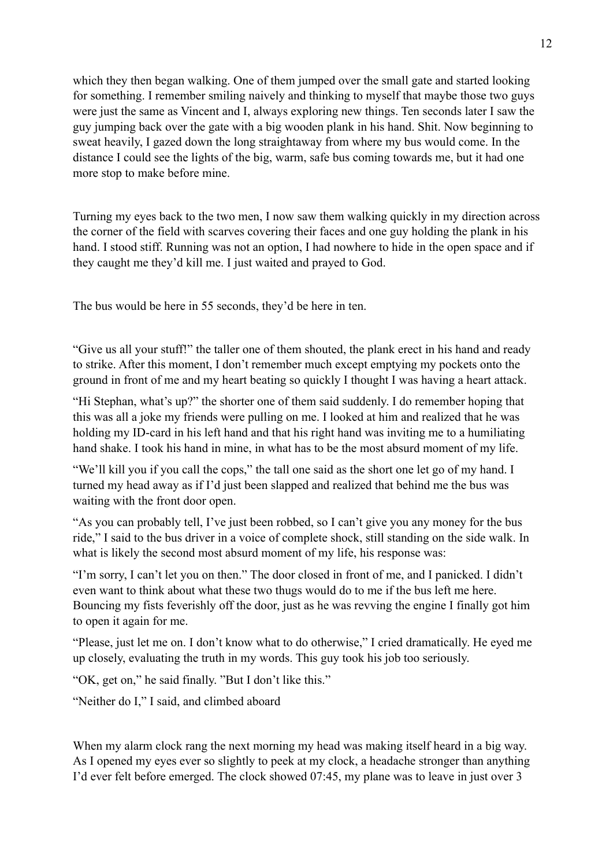which they then began walking. One of them jumped over the small gate and started looking for something. I remember smiling naively and thinking to myself that maybe those two guys were just the same as Vincent and I, always exploring new things. Ten seconds later I saw the guy jumping back over the gate with a big wooden plank in his hand. Shit. Now beginning to sweat heavily, I gazed down the long straightaway from where my bus would come. In the distance I could see the lights of the big, warm, safe bus coming towards me, but it had one more stop to make before mine.

Turning my eyes back to the two men, I now saw them walking quickly in my direction across the corner of the field with scarves covering their faces and one guy holding the plank in his hand. I stood stiff. Running was not an option, I had nowhere to hide in the open space and if they caught me they'd kill me. I just waited and prayed to God.

The bus would be here in 55 seconds, they'd be here in ten.

"Give us all your stuff!" the taller one of them shouted, the plank erect in his hand and ready to strike. After this moment, I don't remember much except emptying my pockets onto the ground in front of me and my heart beating so quickly I thought I was having a heart attack.

"Hi Stephan, what's up?" the shorter one of them said suddenly. I do remember hoping that this was all a joke my friends were pulling on me. I looked at him and realized that he was holding my ID-card in his left hand and that his right hand was inviting me to a humiliating hand shake. I took his hand in mine, in what has to be the most absurd moment of my life.

"We'll kill you if you call the cops," the tall one said as the short one let go of my hand. I turned my head away as if I'd just been slapped and realized that behind me the bus was waiting with the front door open.

"As you can probably tell, I've just been robbed, so I can't give you any money for the bus ride," I said to the bus driver in a voice of complete shock, still standing on the side walk. In what is likely the second most absurd moment of my life, his response was:

"I'm sorry, I can't let you on then." The door closed in front of me, and I panicked. I didn't even want to think about what these two thugs would do to me if the bus left me here. Bouncing my fists feverishly off the door, just as he was revving the engine I finally got him to open it again for me.

"Please, just let me on. I don't know what to do otherwise," I cried dramatically. He eyed me up closely, evaluating the truth in my words. This guy took his job too seriously.

"OK, get on," he said finally. "But I don't like this."

"Neither do I," I said, and climbed aboard

When my alarm clock rang the next morning my head was making itself heard in a big way. As I opened my eyes ever so slightly to peek at my clock, a headache stronger than anything I'd ever felt before emerged. The clock showed 07:45, my plane was to leave in just over 3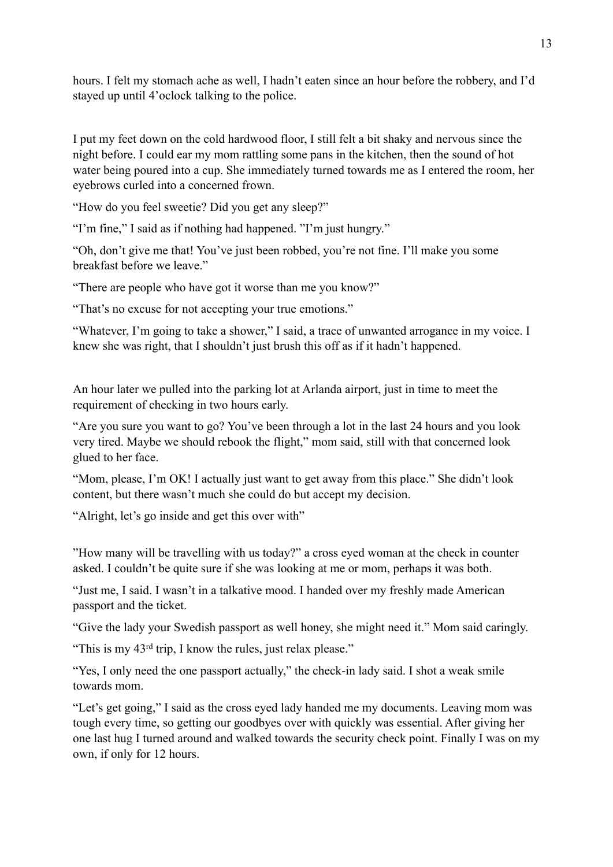hours. I felt my stomach ache as well, I hadn't eaten since an hour before the robbery, and I'd stayed up until 4'oclock talking to the police.

I put my feet down on the cold hardwood floor, I still felt a bit shaky and nervous since the night before. I could ear my mom rattling some pans in the kitchen, then the sound of hot water being poured into a cup. She immediately turned towards me as I entered the room, her eyebrows curled into a concerned frown.

"How do you feel sweetie? Did you get any sleep?"

"I'm fine," I said as if nothing had happened. "I'm just hungry."

"Oh, don't give me that! You've just been robbed, you're not fine. I'll make you some breakfast before we leave."

"There are people who have got it worse than me you know?"

"That's no excuse for not accepting your true emotions."

"Whatever, I'm going to take a shower," I said, a trace of unwanted arrogance in my voice. I knew she was right, that I shouldn't just brush this off as if it hadn't happened.

An hour later we pulled into the parking lot at Arlanda airport, just in time to meet the requirement of checking in two hours early.

"Are you sure you want to go? You've been through a lot in the last 24 hours and you look very tired. Maybe we should rebook the flight," mom said, still with that concerned look glued to her face.

"Mom, please, I'm OK! I actually just want to get away from this place." She didn't look content, but there wasn't much she could do but accept my decision.

"Alright, let's go inside and get this over with"

"How many will be travelling with us today?" a cross eyed woman at the check in counter asked. I couldn't be quite sure if she was looking at me or mom, perhaps it was both.

"Just me, I said. I wasn't in a talkative mood. I handed over my freshly made American passport and the ticket.

"Give the lady your Swedish passport as well honey, she might need it." Mom said caringly.

"This is my 43rd trip, I know the rules, just relax please."

"Yes, I only need the one passport actually," the check-in lady said. I shot a weak smile towards mom.

"Let's get going," I said as the cross eyed lady handed me my documents. Leaving mom was tough every time, so getting our goodbyes over with quickly was essential. After giving her one last hug I turned around and walked towards the security check point. Finally I was on my own, if only for 12 hours.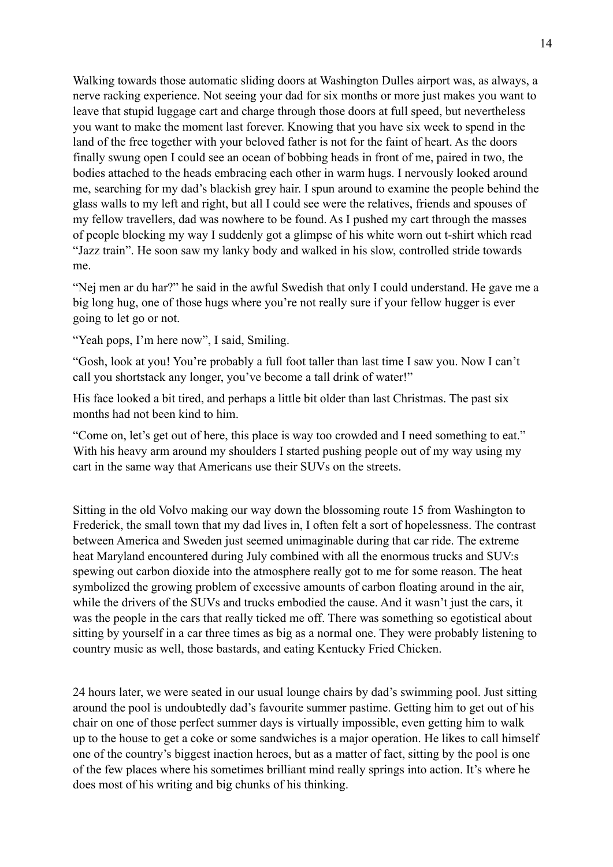Walking towards those automatic sliding doors at Washington Dulles airport was, as always, a nerve racking experience. Not seeing your dad for six months or more just makes you want to leave that stupid luggage cart and charge through those doors at full speed, but nevertheless you want to make the moment last forever. Knowing that you have six week to spend in the land of the free together with your beloved father is not for the faint of heart. As the doors finally swung open I could see an ocean of bobbing heads in front of me, paired in two, the bodies attached to the heads embracing each other in warm hugs. I nervously looked around me, searching for my dad's blackish grey hair. I spun around to examine the people behind the glass walls to my left and right, but all I could see were the relatives, friends and spouses of my fellow travellers, dad was nowhere to be found. As I pushed my cart through the masses of people blocking my way I suddenly got a glimpse of his white worn out t-shirt which read "Jazz train". He soon saw my lanky body and walked in his slow, controlled stride towards me.

"Nej men ar du har?" he said in the awful Swedish that only I could understand. He gave me a big long hug, one of those hugs where you're not really sure if your fellow hugger is ever going to let go or not.

"Yeah pops, I'm here now", I said, Smiling.

"Gosh, look at you! You're probably a full foot taller than last time I saw you. Now I can't call you shortstack any longer, you've become a tall drink of water!"

His face looked a bit tired, and perhaps a little bit older than last Christmas. The past six months had not been kind to him.

"Come on, let's get out of here, this place is way too crowded and I need something to eat." With his heavy arm around my shoulders I started pushing people out of my way using my cart in the same way that Americans use their SUVs on the streets.

Sitting in the old Volvo making our way down the blossoming route 15 from Washington to Frederick, the small town that my dad lives in, I often felt a sort of hopelessness. The contrast between America and Sweden just seemed unimaginable during that car ride. The extreme heat Maryland encountered during July combined with all the enormous trucks and SUV:s spewing out carbon dioxide into the atmosphere really got to me for some reason. The heat symbolized the growing problem of excessive amounts of carbon floating around in the air, while the drivers of the SUVs and trucks embodied the cause. And it wasn't just the cars, it was the people in the cars that really ticked me off. There was something so egotistical about sitting by yourself in a car three times as big as a normal one. They were probably listening to country music as well, those bastards, and eating Kentucky Fried Chicken.

24 hours later, we were seated in our usual lounge chairs by dad's swimming pool. Just sitting around the pool is undoubtedly dad's favourite summer pastime. Getting him to get out of his chair on one of those perfect summer days is virtually impossible, even getting him to walk up to the house to get a coke or some sandwiches is a major operation. He likes to call himself one of the country's biggest inaction heroes, but as a matter of fact, sitting by the pool is one of the few places where his sometimes brilliant mind really springs into action. It's where he does most of his writing and big chunks of his thinking.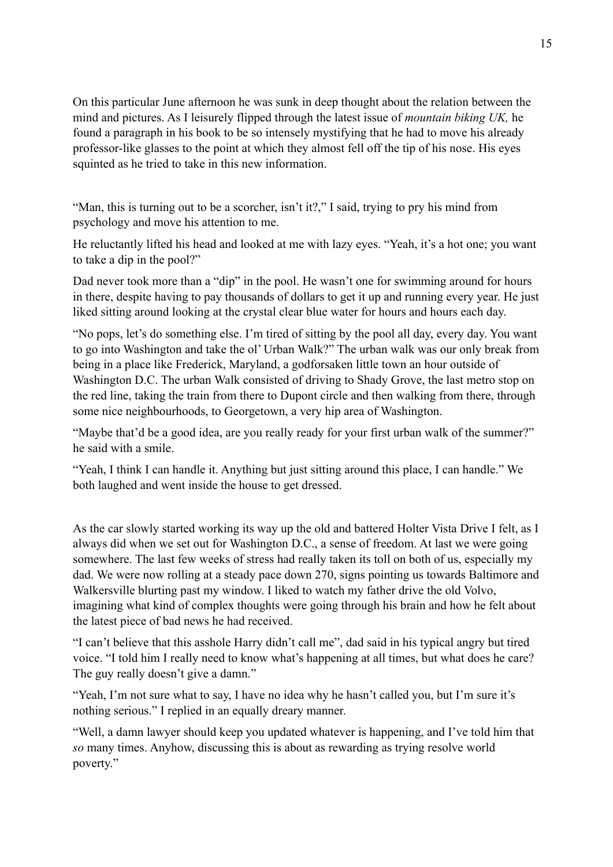On this particular June afternoon he was sunk in deep thought about the relation between the mind and pictures. As I leisurely flipped through the latest issue of *mountain biking UK,* he found a paragraph in his book to be so intensely mystifying that he had to move his already professor-like glasses to the point at which they almost fell off the tip of his nose. His eyes squinted as he tried to take in this new information.

"Man, this is turning out to be a scorcher, isn't it?," I said, trying to pry his mind from psychology and move his attention to me.

He reluctantly lifted his head and looked at me with lazy eyes. "Yeah, it's a hot one; you want to take a dip in the pool?"

Dad never took more than a "dip" in the pool. He wasn't one for swimming around for hours in there, despite having to pay thousands of dollars to get it up and running every year. He just liked sitting around looking at the crystal clear blue water for hours and hours each day.

"No pops, let's do something else. I'm tired of sitting by the pool all day, every day. You want to go into Washington and take the ol' Urban Walk?" The urban walk was our only break from being in a place like Frederick, Maryland, a godforsaken little town an hour outside of Washington D.C. The urban Walk consisted of driving to Shady Grove, the last metro stop on the red line, taking the train from there to Dupont circle and then walking from there, through some nice neighbourhoods, to Georgetown, a very hip area of Washington.

"Maybe that'd be a good idea, are you really ready for your first urban walk of the summer?" he said with a smile.

"Yeah, I think I can handle it. Anything but just sitting around this place, I can handle." We both laughed and went inside the house to get dressed.

As the car slowly started working its way up the old and battered Holter Vista Drive I felt, as I always did when we set out for Washington D.C., a sense of freedom. At last we were going somewhere. The last few weeks of stress had really taken its toll on both of us, especially my dad. We were now rolling at a steady pace down 270, signs pointing us towards Baltimore and Walkersville blurting past my window. I liked to watch my father drive the old Volvo, imagining what kind of complex thoughts were going through his brain and how he felt about the latest piece of bad news he had received.

"I can't believe that this asshole Harry didn't call me", dad said in his typical angry but tired voice. "I told him I really need to know what's happening at all times, but what does he care? The guy really doesn't give a damn."

"Yeah, I'm not sure what to say, I have no idea why he hasn't called you, but I'm sure it's nothing serious." I replied in an equally dreary manner.

"Well, a damn lawyer should keep you updated whatever is happening, and I've told him that *so* many times. Anyhow, discussing this is about as rewarding as trying resolve world poverty."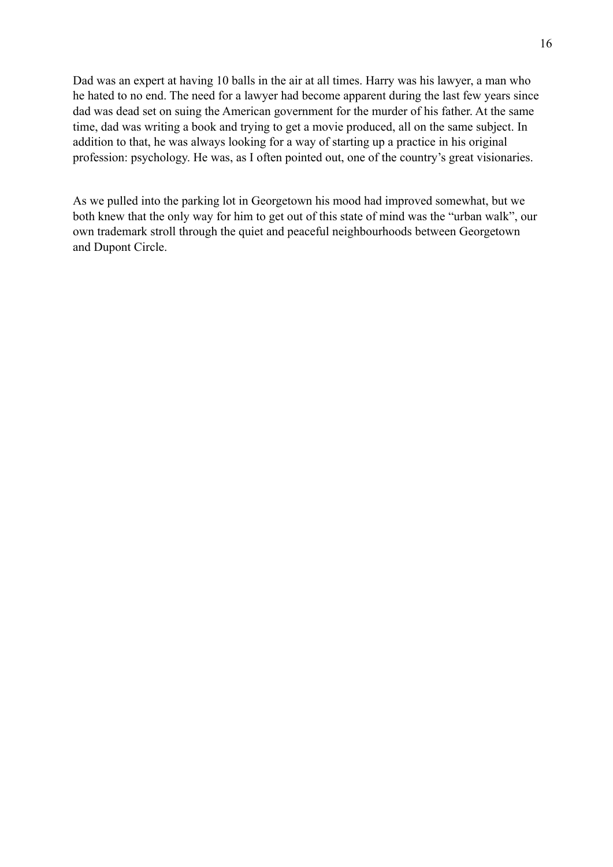Dad was an expert at having 10 balls in the air at all times. Harry was his lawyer, a man who he hated to no end. The need for a lawyer had become apparent during the last few years since dad was dead set on suing the American government for the murder of his father. At the same time, dad was writing a book and trying to get a movie produced, all on the same subject. In addition to that, he was always looking for a way of starting up a practice in his original profession: psychology. He was, as I often pointed out, one of the country's great visionaries.

As we pulled into the parking lot in Georgetown his mood had improved somewhat, but we both knew that the only way for him to get out of this state of mind was the "urban walk", our own trademark stroll through the quiet and peaceful neighbourhoods between Georgetown and Dupont Circle.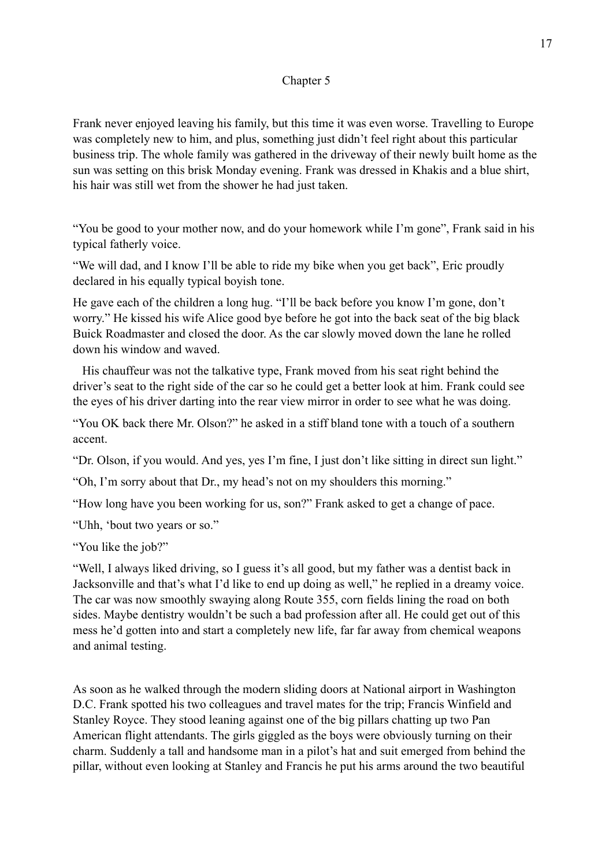# Chapter 5

Frank never enjoyed leaving his family, but this time it was even worse. Travelling to Europe was completely new to him, and plus, something just didn't feel right about this particular business trip. The whole family was gathered in the driveway of their newly built home as the sun was setting on this brisk Monday evening. Frank was dressed in Khakis and a blue shirt, his hair was still wet from the shower he had just taken.

"You be good to your mother now, and do your homework while I'm gone", Frank said in his typical fatherly voice.

"We will dad, and I know I'll be able to ride my bike when you get back", Eric proudly declared in his equally typical boyish tone.

He gave each of the children a long hug. "I'll be back before you know I'm gone, don't worry." He kissed his wife Alice good bye before he got into the back seat of the big black Buick Roadmaster and closed the door. As the car slowly moved down the lane he rolled down his window and waved.

His chauffeur was not the talkative type, Frank moved from his seat right behind the driver's seat to the right side of the car so he could get a better look at him. Frank could see the eyes of his driver darting into the rear view mirror in order to see what he was doing.

"You OK back there Mr. Olson?" he asked in a stiff bland tone with a touch of a southern accent.

"Dr. Olson, if you would. And yes, yes I'm fine, I just don't like sitting in direct sun light."

"Oh, I'm sorry about that Dr., my head's not on my shoulders this morning."

"How long have you been working for us, son?" Frank asked to get a change of pace.

"Uhh, 'bout two years or so."

"You like the job?"

"Well, I always liked driving, so I guess it's all good, but my father was a dentist back in Jacksonville and that's what I'd like to end up doing as well," he replied in a dreamy voice. The car was now smoothly swaying along Route 355, corn fields lining the road on both sides. Maybe dentistry wouldn't be such a bad profession after all. He could get out of this mess he'd gotten into and start a completely new life, far far away from chemical weapons and animal testing.

As soon as he walked through the modern sliding doors at National airport in Washington D.C. Frank spotted his two colleagues and travel mates for the trip; Francis Winfield and Stanley Royce. They stood leaning against one of the big pillars chatting up two Pan American flight attendants. The girls giggled as the boys were obviously turning on their charm. Suddenly a tall and handsome man in a pilot's hat and suit emerged from behind the pillar, without even looking at Stanley and Francis he put his arms around the two beautiful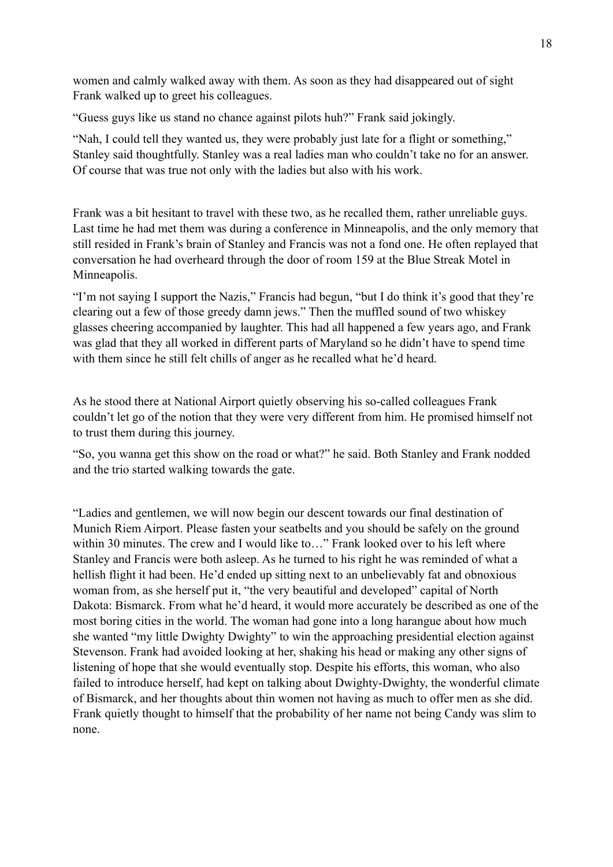women and calmly walked away with them. As soon as they had disappeared out of sight Frank walked up to greet his colleagues.

"Guess guys like us stand no chance against pilots huh?" Frank said jokingly.

"Nah, I could tell they wanted us, they were probably just late for a flight or something," Stanley said thoughtfully. Stanley was a real ladies man who couldn't take no for an answer. Of course that was true not only with the ladies but also with his work.

Frank was a bit hesitant to travel with these two, as he recalled them, rather unreliable guys. Last time he had met them was during a conference in Minneapolis, and the only memory that still resided in Frank's brain of Stanley and Francis was not a fond one. He often replayed that conversation he had overheard through the door of room 159 at the Blue Streak Motel in Minneapolis.

"I'm not saying I support the Nazis," Francis had begun, "but I do think it's good that they're clearing out a few of those greedy damn jews." Then the muffled sound of two whiskey glasses cheering accompanied by laughter. This had all happened a few years ago, and Frank was glad that they all worked in different parts of Maryland so he didn't have to spend time with them since he still felt chills of anger as he recalled what he'd heard.

As he stood there at National Airport quietly observing his so-called colleagues Frank couldn't let go of the notion that they were very different from him. He promised himself not to trust them during this journey.

"So, you wanna get this show on the road or what?" he said. Both Stanley and Frank nodded and the trio started walking towards the gate.

"Ladies and gentlemen, we will now begin our descent towards our final destination of Munich Riem Airport. Please fasten your seatbelts and you should be safely on the ground within 30 minutes. The crew and I would like to..." Frank looked over to his left where Stanley and Francis were both asleep. As he turned to his right he was reminded of what a hellish flight it had been. He'd ended up sitting next to an unbelievably fat and obnoxious woman from, as she herself put it, "the very beautiful and developed" capital of North Dakota: Bismarck. From what he'd heard, it would more accurately be described as one of the most boring cities in the world. The woman had gone into a long harangue about how much she wanted "my little Dwighty Dwighty" to win the approaching presidential election against Stevenson. Frank had avoided looking at her, shaking his head or making any other signs of listening of hope that she would eventually stop. Despite his efforts, this woman, who also failed to introduce herself, had kept on talking about Dwighty-Dwighty, the wonderful climate of Bismarck, and her thoughts about thin women not having as much to offer men as she did. Frank quietly thought to himself that the probability of her name not being Candy was slim to none.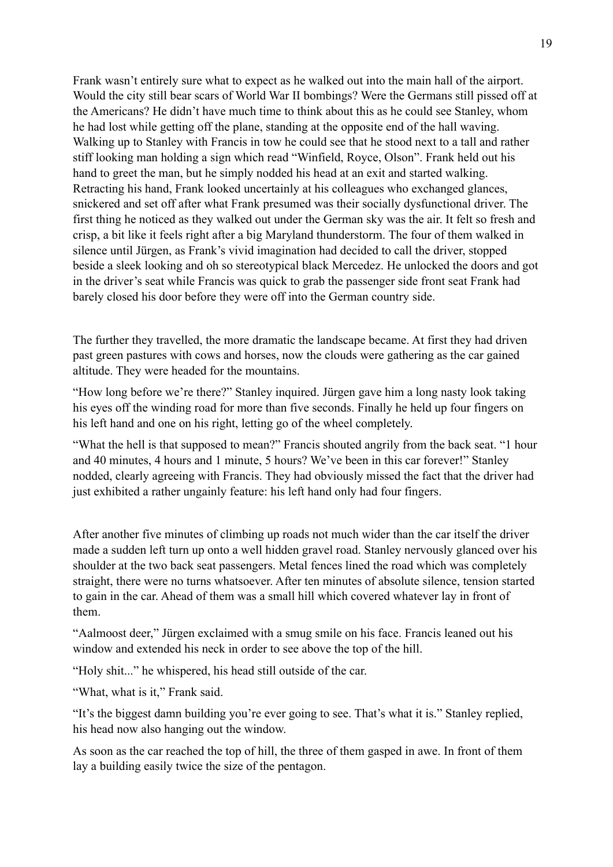Frank wasn't entirely sure what to expect as he walked out into the main hall of the airport. Would the city still bear scars of World War II bombings? Were the Germans still pissed off at the Americans? He didn't have much time to think about this as he could see Stanley, whom he had lost while getting off the plane, standing at the opposite end of the hall waving. Walking up to Stanley with Francis in tow he could see that he stood next to a tall and rather stiff looking man holding a sign which read "Winfield, Royce, Olson". Frank held out his hand to greet the man, but he simply nodded his head at an exit and started walking. Retracting his hand, Frank looked uncertainly at his colleagues who exchanged glances, snickered and set off after what Frank presumed was their socially dysfunctional driver. The first thing he noticed as they walked out under the German sky was the air. It felt so fresh and crisp, a bit like it feels right after a big Maryland thunderstorm. The four of them walked in silence until Jürgen, as Frank's vivid imagination had decided to call the driver, stopped beside a sleek looking and oh so stereotypical black Mercedez. He unlocked the doors and got in the driver's seat while Francis was quick to grab the passenger side front seat Frank had barely closed his door before they were off into the German country side.

The further they travelled, the more dramatic the landscape became. At first they had driven past green pastures with cows and horses, now the clouds were gathering as the car gained altitude. They were headed for the mountains.

"How long before we're there?" Stanley inquired. Jürgen gave him a long nasty look taking his eyes off the winding road for more than five seconds. Finally he held up four fingers on his left hand and one on his right, letting go of the wheel completely.

"What the hell is that supposed to mean?" Francis shouted angrily from the back seat. "1 hour and 40 minutes, 4 hours and 1 minute, 5 hours? We've been in this car forever!" Stanley nodded, clearly agreeing with Francis. They had obviously missed the fact that the driver had just exhibited a rather ungainly feature: his left hand only had four fingers.

After another five minutes of climbing up roads not much wider than the car itself the driver made a sudden left turn up onto a well hidden gravel road. Stanley nervously glanced over his shoulder at the two back seat passengers. Metal fences lined the road which was completely straight, there were no turns whatsoever. After ten minutes of absolute silence, tension started to gain in the car. Ahead of them was a small hill which covered whatever lay in front of them.

"Aalmoost deer," Jürgen exclaimed with a smug smile on his face. Francis leaned out his window and extended his neck in order to see above the top of the hill.

"Holy shit..." he whispered, his head still outside of the car.

"What, what is it," Frank said.

"It's the biggest damn building you're ever going to see. That's what it is." Stanley replied, his head now also hanging out the window.

As soon as the car reached the top of hill, the three of them gasped in awe. In front of them lay a building easily twice the size of the pentagon.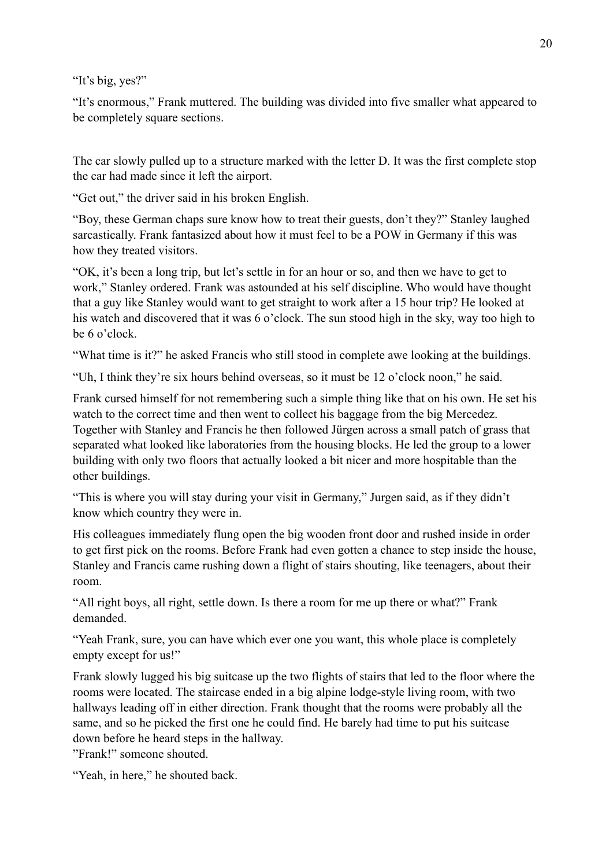"It's big, yes?"

"It's enormous," Frank muttered. The building was divided into five smaller what appeared to be completely square sections.

The car slowly pulled up to a structure marked with the letter D. It was the first complete stop the car had made since it left the airport.

"Get out," the driver said in his broken English.

"Boy, these German chaps sure know how to treat their guests, don't they?" Stanley laughed sarcastically. Frank fantasized about how it must feel to be a POW in Germany if this was how they treated visitors.

"OK, it's been a long trip, but let's settle in for an hour or so, and then we have to get to work," Stanley ordered. Frank was astounded at his self discipline. Who would have thought that a guy like Stanley would want to get straight to work after a 15 hour trip? He looked at his watch and discovered that it was 6 o'clock. The sun stood high in the sky, way too high to be 6 o'clock.

"What time is it?" he asked Francis who still stood in complete awe looking at the buildings.

"Uh, I think they're six hours behind overseas, so it must be 12 o'clock noon," he said.

Frank cursed himself for not remembering such a simple thing like that on his own. He set his watch to the correct time and then went to collect his baggage from the big Mercedez. Together with Stanley and Francis he then followed Jürgen across a small patch of grass that separated what looked like laboratories from the housing blocks. He led the group to a lower building with only two floors that actually looked a bit nicer and more hospitable than the other buildings.

"This is where you will stay during your visit in Germany," Jurgen said, as if they didn't know which country they were in.

His colleagues immediately flung open the big wooden front door and rushed inside in order to get first pick on the rooms. Before Frank had even gotten a chance to step inside the house, Stanley and Francis came rushing down a flight of stairs shouting, like teenagers, about their room.

"All right boys, all right, settle down. Is there a room for me up there or what?" Frank demanded.

"Yeah Frank, sure, you can have which ever one you want, this whole place is completely empty except for us!"

Frank slowly lugged his big suitcase up the two flights of stairs that led to the floor where the rooms were located. The staircase ended in a big alpine lodge-style living room, with two hallways leading off in either direction. Frank thought that the rooms were probably all the same, and so he picked the first one he could find. He barely had time to put his suitcase down before he heard steps in the hallway.

"Frank!" someone shouted.

"Yeah, in here," he shouted back.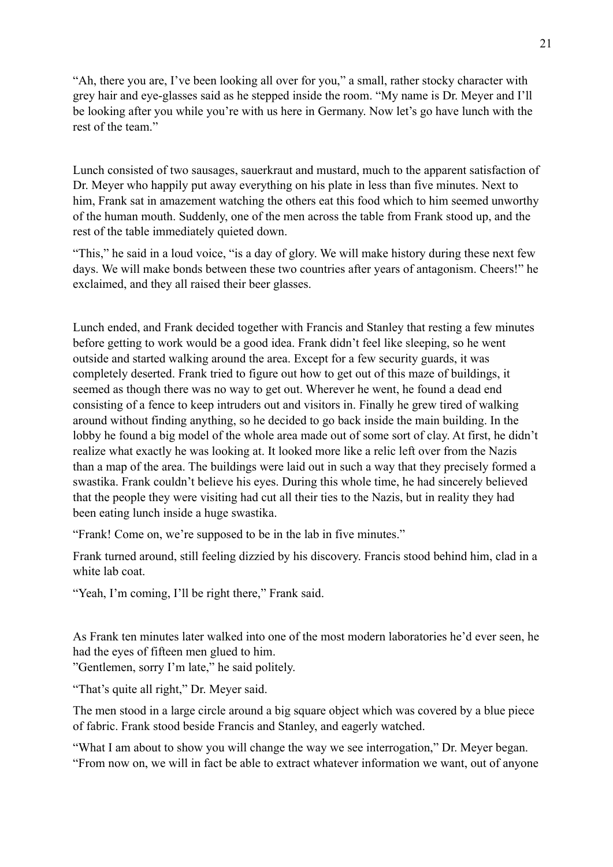"Ah, there you are, I've been looking all over for you," a small, rather stocky character with grey hair and eye-glasses said as he stepped inside the room. "My name is Dr. Meyer and I'll be looking after you while you're with us here in Germany. Now let's go have lunch with the rest of the team."

Lunch consisted of two sausages, sauerkraut and mustard, much to the apparent satisfaction of Dr. Meyer who happily put away everything on his plate in less than five minutes. Next to him, Frank sat in amazement watching the others eat this food which to him seemed unworthy of the human mouth. Suddenly, one of the men across the table from Frank stood up, and the rest of the table immediately quieted down.

"This," he said in a loud voice, "is a day of glory. We will make history during these next few days. We will make bonds between these two countries after years of antagonism. Cheers!" he exclaimed, and they all raised their beer glasses.

Lunch ended, and Frank decided together with Francis and Stanley that resting a few minutes before getting to work would be a good idea. Frank didn't feel like sleeping, so he went outside and started walking around the area. Except for a few security guards, it was completely deserted. Frank tried to figure out how to get out of this maze of buildings, it seemed as though there was no way to get out. Wherever he went, he found a dead end consisting of a fence to keep intruders out and visitors in. Finally he grew tired of walking around without finding anything, so he decided to go back inside the main building. In the lobby he found a big model of the whole area made out of some sort of clay. At first, he didn't realize what exactly he was looking at. It looked more like a relic left over from the Nazis than a map of the area. The buildings were laid out in such a way that they precisely formed a swastika. Frank couldn't believe his eyes. During this whole time, he had sincerely believed that the people they were visiting had cut all their ties to the Nazis, but in reality they had been eating lunch inside a huge swastika.

"Frank! Come on, we're supposed to be in the lab in five minutes."

Frank turned around, still feeling dizzied by his discovery. Francis stood behind him, clad in a white lab coat.

"Yeah, I'm coming, I'll be right there," Frank said.

As Frank ten minutes later walked into one of the most modern laboratories he'd ever seen, he had the eyes of fifteen men glued to him.

"Gentlemen, sorry I'm late," he said politely.

"That's quite all right," Dr. Meyer said.

The men stood in a large circle around a big square object which was covered by a blue piece of fabric. Frank stood beside Francis and Stanley, and eagerly watched.

"What I am about to show you will change the way we see interrogation," Dr. Meyer began. "From now on, we will in fact be able to extract whatever information we want, out of anyone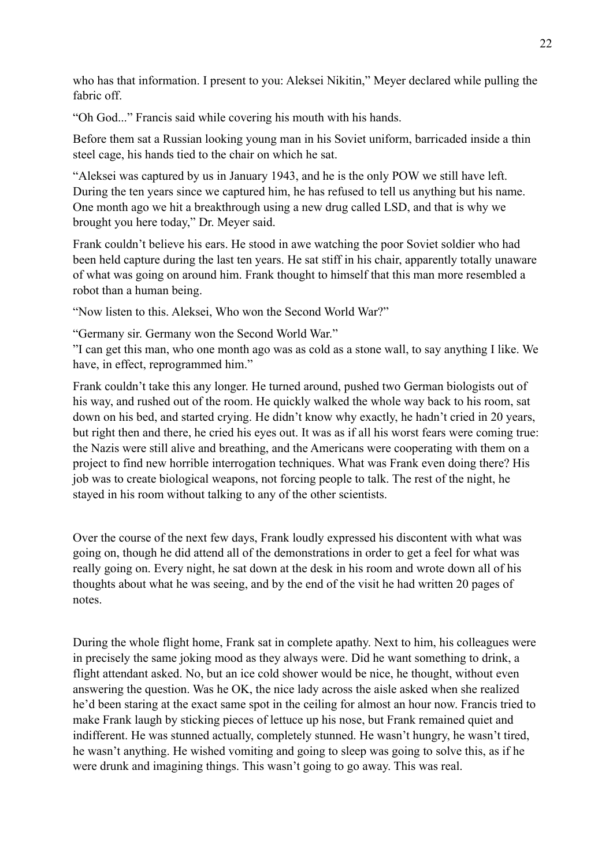who has that information. I present to you: Aleksei Nikitin," Meyer declared while pulling the fabric off.

"Oh God..." Francis said while covering his mouth with his hands.

Before them sat a Russian looking young man in his Soviet uniform, barricaded inside a thin steel cage, his hands tied to the chair on which he sat.

"Aleksei was captured by us in January 1943, and he is the only POW we still have left. During the ten years since we captured him, he has refused to tell us anything but his name. One month ago we hit a breakthrough using a new drug called LSD, and that is why we brought you here today," Dr. Meyer said.

Frank couldn't believe his ears. He stood in awe watching the poor Soviet soldier who had been held capture during the last ten years. He sat stiff in his chair, apparently totally unaware of what was going on around him. Frank thought to himself that this man more resembled a robot than a human being.

"Now listen to this. Aleksei, Who won the Second World War?"

"Germany sir. Germany won the Second World War."

"I can get this man, who one month ago was as cold as a stone wall, to say anything I like. We have, in effect, reprogrammed him."

Frank couldn't take this any longer. He turned around, pushed two German biologists out of his way, and rushed out of the room. He quickly walked the whole way back to his room, sat down on his bed, and started crying. He didn't know why exactly, he hadn't cried in 20 years, but right then and there, he cried his eyes out. It was as if all his worst fears were coming true: the Nazis were still alive and breathing, and the Americans were cooperating with them on a project to find new horrible interrogation techniques. What was Frank even doing there? His job was to create biological weapons, not forcing people to talk. The rest of the night, he stayed in his room without talking to any of the other scientists.

Over the course of the next few days, Frank loudly expressed his discontent with what was going on, though he did attend all of the demonstrations in order to get a feel for what was really going on. Every night, he sat down at the desk in his room and wrote down all of his thoughts about what he was seeing, and by the end of the visit he had written 20 pages of notes.

During the whole flight home, Frank sat in complete apathy. Next to him, his colleagues were in precisely the same joking mood as they always were. Did he want something to drink, a flight attendant asked. No, but an ice cold shower would be nice, he thought, without even answering the question. Was he OK, the nice lady across the aisle asked when she realized he'd been staring at the exact same spot in the ceiling for almost an hour now. Francis tried to make Frank laugh by sticking pieces of lettuce up his nose, but Frank remained quiet and indifferent. He was stunned actually, completely stunned. He wasn't hungry, he wasn't tired, he wasn't anything. He wished vomiting and going to sleep was going to solve this, as if he were drunk and imagining things. This wasn't going to go away. This was real.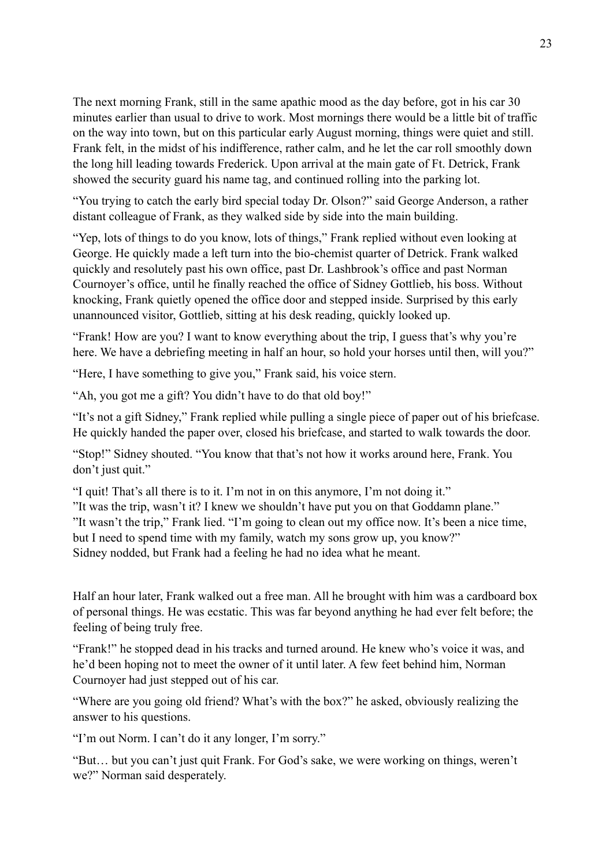The next morning Frank, still in the same apathic mood as the day before, got in his car 30 minutes earlier than usual to drive to work. Most mornings there would be a little bit of traffic on the way into town, but on this particular early August morning, things were quiet and still. Frank felt, in the midst of his indifference, rather calm, and he let the car roll smoothly down the long hill leading towards Frederick. Upon arrival at the main gate of Ft. Detrick, Frank showed the security guard his name tag, and continued rolling into the parking lot.

"You trying to catch the early bird special today Dr. Olson?" said George Anderson, a rather distant colleague of Frank, as they walked side by side into the main building.

"Yep, lots of things to do you know, lots of things," Frank replied without even looking at George. He quickly made a left turn into the bio-chemist quarter of Detrick. Frank walked quickly and resolutely past his own office, past Dr. Lashbrook's office and past Norman Cournoyer's office, until he finally reached the office of Sidney Gottlieb, his boss. Without knocking, Frank quietly opened the office door and stepped inside. Surprised by this early unannounced visitor, Gottlieb, sitting at his desk reading, quickly looked up.

"Frank! How are you? I want to know everything about the trip, I guess that's why you're here. We have a debriefing meeting in half an hour, so hold your horses until then, will you?"

"Here, I have something to give you," Frank said, his voice stern.

"Ah, you got me a gift? You didn't have to do that old boy!"

"It's not a gift Sidney," Frank replied while pulling a single piece of paper out of his briefcase. He quickly handed the paper over, closed his briefcase, and started to walk towards the door.

"Stop!" Sidney shouted. "You know that that's not how it works around here, Frank. You don't just quit."

"I quit! That's all there is to it. I'm not in on this anymore, I'm not doing it." "It was the trip, wasn't it? I knew we shouldn't have put you on that Goddamn plane."

"It wasn't the trip," Frank lied. "I'm going to clean out my office now. It's been a nice time, but I need to spend time with my family, watch my sons grow up, you know?" Sidney nodded, but Frank had a feeling he had no idea what he meant.

Half an hour later, Frank walked out a free man. All he brought with him was a cardboard box of personal things. He was ecstatic. This was far beyond anything he had ever felt before; the feeling of being truly free.

"Frank!" he stopped dead in his tracks and turned around. He knew who's voice it was, and he'd been hoping not to meet the owner of it until later. A few feet behind him, Norman Cournoyer had just stepped out of his car.

"Where are you going old friend? What's with the box?" he asked, obviously realizing the answer to his questions.

"I'm out Norm. I can't do it any longer, I'm sorry."

"But… but you can't just quit Frank. For God's sake, we were working on things, weren't we?" Norman said desperately.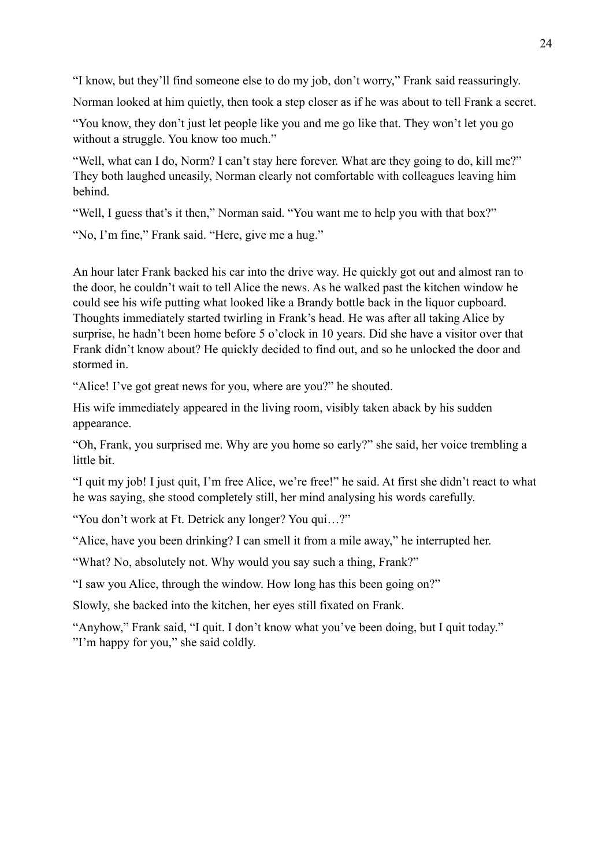"I know, but they'll find someone else to do my job, don't worry," Frank said reassuringly.

Norman looked at him quietly, then took a step closer as if he was about to tell Frank a secret.

"You know, they don't just let people like you and me go like that. They won't let you go without a struggle. You know too much."

"Well, what can I do, Norm? I can't stay here forever. What are they going to do, kill me?" They both laughed uneasily, Norman clearly not comfortable with colleagues leaving him behind.

"Well, I guess that's it then," Norman said. "You want me to help you with that box?"

"No, I'm fine," Frank said. "Here, give me a hug."

An hour later Frank backed his car into the drive way. He quickly got out and almost ran to the door, he couldn't wait to tell Alice the news. As he walked past the kitchen window he could see his wife putting what looked like a Brandy bottle back in the liquor cupboard. Thoughts immediately started twirling in Frank's head. He was after all taking Alice by surprise, he hadn't been home before 5 o'clock in 10 years. Did she have a visitor over that Frank didn't know about? He quickly decided to find out, and so he unlocked the door and stormed in.

"Alice! I've got great news for you, where are you?" he shouted.

His wife immediately appeared in the living room, visibly taken aback by his sudden appearance.

"Oh, Frank, you surprised me. Why are you home so early?" she said, her voice trembling a little bit.

"I quit my job! I just quit, I'm free Alice, we're free!" he said. At first she didn't react to what he was saying, she stood completely still, her mind analysing his words carefully.

"You don't work at Ft. Detrick any longer? You qui…?"

"Alice, have you been drinking? I can smell it from a mile away," he interrupted her.

"What? No, absolutely not. Why would you say such a thing, Frank?"

"I saw you Alice, through the window. How long has this been going on?"

Slowly, she backed into the kitchen, her eyes still fixated on Frank.

"Anyhow," Frank said, "I quit. I don't know what you've been doing, but I quit today." "I'm happy for you," she said coldly.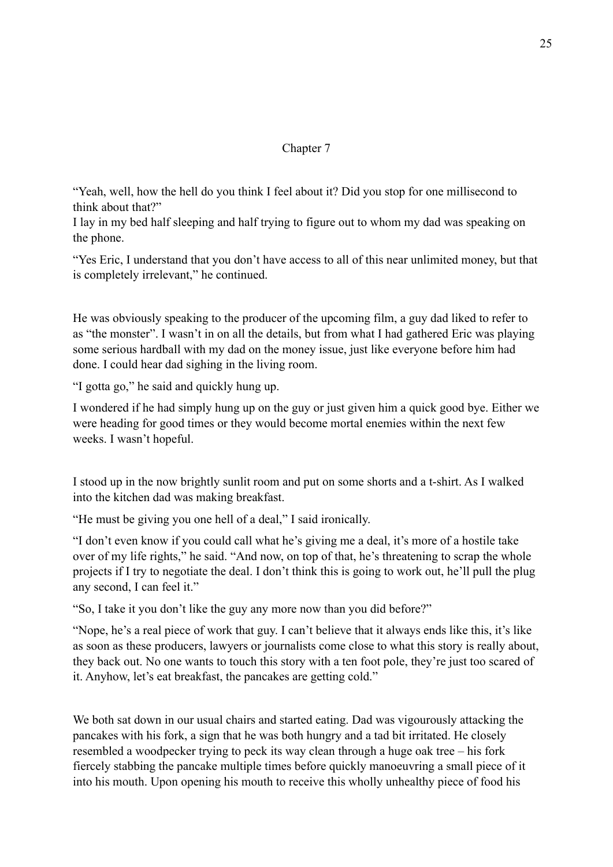# Chapter 7

"Yeah, well, how the hell do you think I feel about it? Did you stop for one millisecond to think about that?"

I lay in my bed half sleeping and half trying to figure out to whom my dad was speaking on the phone.

"Yes Eric, I understand that you don't have access to all of this near unlimited money, but that is completely irrelevant," he continued.

He was obviously speaking to the producer of the upcoming film, a guy dad liked to refer to as "the monster". I wasn't in on all the details, but from what I had gathered Eric was playing some serious hardball with my dad on the money issue, just like everyone before him had done. I could hear dad sighing in the living room.

"I gotta go," he said and quickly hung up.

I wondered if he had simply hung up on the guy or just given him a quick good bye. Either we were heading for good times or they would become mortal enemies within the next few weeks. I wasn't hopeful.

I stood up in the now brightly sunlit room and put on some shorts and a t-shirt. As I walked into the kitchen dad was making breakfast.

"He must be giving you one hell of a deal," I said ironically.

"I don't even know if you could call what he's giving me a deal, it's more of a hostile take over of my life rights," he said. "And now, on top of that, he's threatening to scrap the whole projects if I try to negotiate the deal. I don't think this is going to work out, he'll pull the plug any second, I can feel it."

"So, I take it you don't like the guy any more now than you did before?"

"Nope, he's a real piece of work that guy. I can't believe that it always ends like this, it's like as soon as these producers, lawyers or journalists come close to what this story is really about, they back out. No one wants to touch this story with a ten foot pole, they're just too scared of it. Anyhow, let's eat breakfast, the pancakes are getting cold."

We both sat down in our usual chairs and started eating. Dad was vigourously attacking the pancakes with his fork, a sign that he was both hungry and a tad bit irritated. He closely resembled a woodpecker trying to peck its way clean through a huge oak tree – his fork fiercely stabbing the pancake multiple times before quickly manoeuvring a small piece of it into his mouth. Upon opening his mouth to receive this wholly unhealthy piece of food his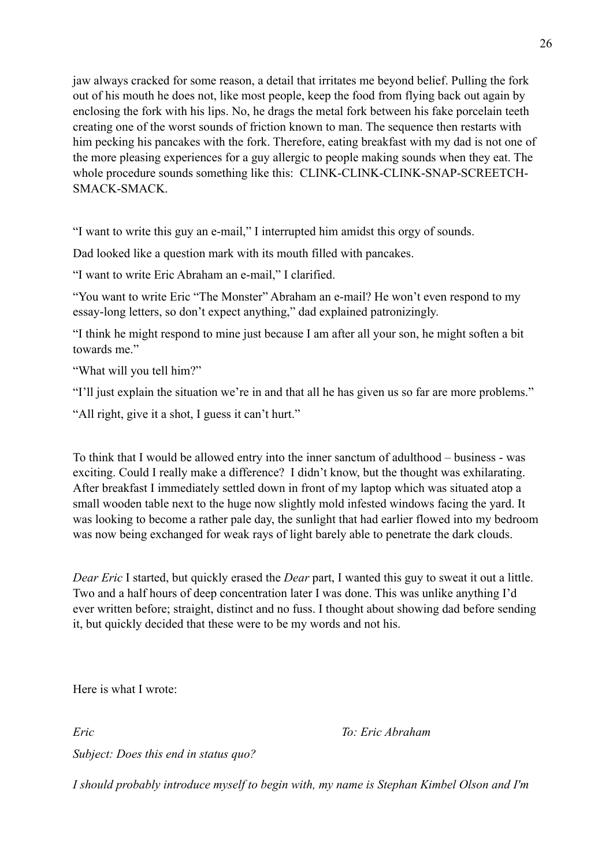26

jaw always cracked for some reason, a detail that irritates me beyond belief. Pulling the fork out of his mouth he does not, like most people, keep the food from flying back out again by enclosing the fork with his lips. No, he drags the metal fork between his fake porcelain teeth creating one of the worst sounds of friction known to man. The sequence then restarts with him pecking his pancakes with the fork. Therefore, eating breakfast with my dad is not one of the more pleasing experiences for a guy allergic to people making sounds when they eat. The whole procedure sounds something like this: CLINK-CLINK-CLINK-SNAP-SCREETCH-SMACK-SMACK.

"I want to write this guy an e-mail," I interrupted him amidst this orgy of sounds.

Dad looked like a question mark with its mouth filled with pancakes.

"I want to write Eric Abraham an e-mail," I clarified.

"You want to write Eric "The Monster" Abraham an e-mail? He won't even respond to my essay-long letters, so don't expect anything," dad explained patronizingly.

"I think he might respond to mine just because I am after all your son, he might soften a bit towards me"

"What will you tell him?"

"I'll just explain the situation we're in and that all he has given us so far are more problems."

"All right, give it a shot, I guess it can't hurt."

To think that I would be allowed entry into the inner sanctum of adulthood – business - was exciting. Could I really make a difference? I didn't know, but the thought was exhilarating. After breakfast I immediately settled down in front of my laptop which was situated atop a small wooden table next to the huge now slightly mold infested windows facing the yard. It was looking to become a rather pale day, the sunlight that had earlier flowed into my bedroom was now being exchanged for weak rays of light barely able to penetrate the dark clouds.

*Dear Eric* I started, but quickly erased the *Dear* part, I wanted this guy to sweat it out a little. Two and a half hours of deep concentration later I was done. This was unlike anything I'd ever written before; straight, distinct and no fuss. I thought about showing dad before sending it, but quickly decided that these were to be my words and not his.

Here is what I wrote:

*Eric To: Eric Abraham*

*Subject: Does this end in status quo?*

*I should probably introduce myself to begin with, my name is Stephan Kimbel Olson and I'm*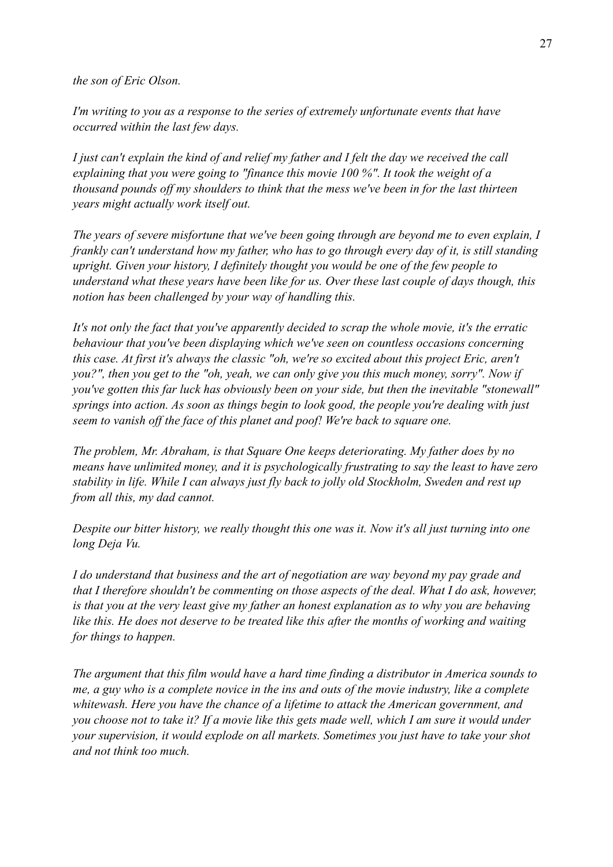*the son of Eric Olson.*

*I'm writing to you as a response to the series of extremely unfortunate events that have occurred within the last few days.* 

*I just can't explain the kind of and relief my father and I felt the day we received the call explaining that you were going to "finance this movie 100 %". It took the weight of a thousand pounds off my shoulders to think that the mess we've been in for the last thirteen years might actually work itself out.* 

*The years of severe misfortune that we've been going through are beyond me to even explain, I frankly can't understand how my father, who has to go through every day of it, is still standing upright. Given your history, I definitely thought you would be one of the few people to understand what these years have been like for us. Over these last couple of days though, this notion has been challenged by your way of handling this.* 

*It's not only the fact that you've apparently decided to scrap the whole movie, it's the erratic behaviour that you've been displaying which we've seen on countless occasions concerning this case. At first it's always the classic "oh, we're so excited about this project Eric, aren't you?", then you get to the "oh, yeah, we can only give you this much money, sorry". Now if you've gotten this far luck has obviously been on your side, but then the inevitable "stonewall" springs into action. As soon as things begin to look good, the people you're dealing with just seem to vanish off the face of this planet and poof! We're back to square one.* 

*The problem, Mr. Abraham, is that Square One keeps deteriorating. My father does by no means have unlimited money, and it is psychologically frustrating to say the least to have zero stability in life. While I can always just fly back to jolly old Stockholm, Sweden and rest up from all this, my dad cannot.*

*Despite our bitter history, we really thought this one was it. Now it's all just turning into one long Deja Vu.* 

*I do understand that business and the art of negotiation are way beyond my pay grade and that I therefore shouldn't be commenting on those aspects of the deal. What I do ask, however, is that you at the very least give my father an honest explanation as to why you are behaving like this. He does not deserve to be treated like this after the months of working and waiting for things to happen.* 

*The argument that this film would have a hard time finding a distributor in America sounds to me, a guy who is a complete novice in the ins and outs of the movie industry, like a complete whitewash. Here you have the chance of a lifetime to attack the American government, and you choose not to take it? If a movie like this gets made well, which I am sure it would under your supervision, it would explode on all markets. Sometimes you just have to take your shot and not think too much.*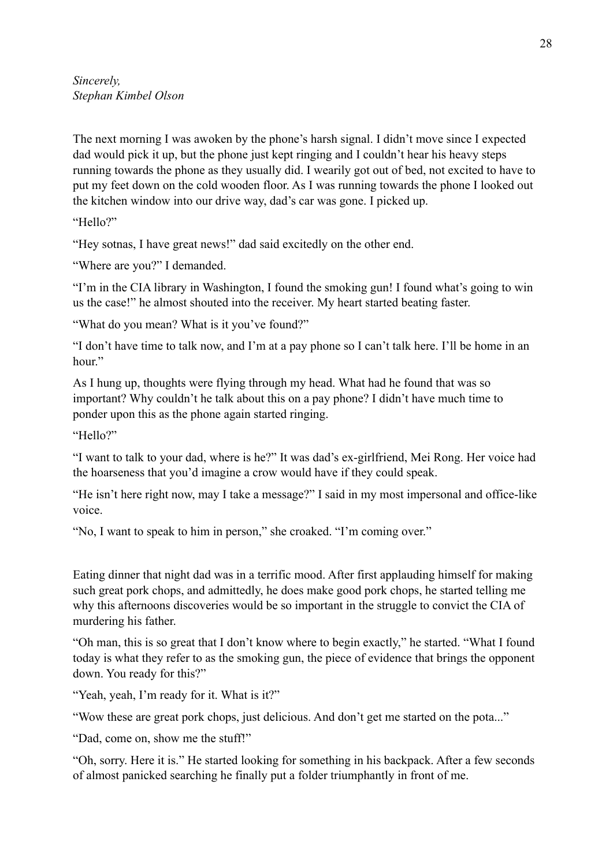The next morning I was awoken by the phone's harsh signal. I didn't move since I expected dad would pick it up, but the phone just kept ringing and I couldn't hear his heavy steps running towards the phone as they usually did. I wearily got out of bed, not excited to have to put my feet down on the cold wooden floor. As I was running towards the phone I looked out the kitchen window into our drive way, dad's car was gone. I picked up.

"Hello?"

"Hey sotnas, I have great news!" dad said excitedly on the other end.

"Where are you?" I demanded.

"I'm in the CIA library in Washington, I found the smoking gun! I found what's going to win us the case!" he almost shouted into the receiver. My heart started beating faster.

"What do you mean? What is it you've found?"

"I don't have time to talk now, and I'm at a pay phone so I can't talk here. I'll be home in an hour"

As I hung up, thoughts were flying through my head. What had he found that was so important? Why couldn't he talk about this on a pay phone? I didn't have much time to ponder upon this as the phone again started ringing.

"Hello?"

"I want to talk to your dad, where is he?" It was dad's ex-girlfriend, Mei Rong. Her voice had the hoarseness that you'd imagine a crow would have if they could speak.

"He isn't here right now, may I take a message?" I said in my most impersonal and office-like voice.

"No, I want to speak to him in person," she croaked. "I'm coming over."

Eating dinner that night dad was in a terrific mood. After first applauding himself for making such great pork chops, and admittedly, he does make good pork chops, he started telling me why this afternoons discoveries would be so important in the struggle to convict the CIA of murdering his father.

"Oh man, this is so great that I don't know where to begin exactly," he started. "What I found today is what they refer to as the smoking gun, the piece of evidence that brings the opponent down. You ready for this?"

"Yeah, yeah, I'm ready for it. What is it?"

"Wow these are great pork chops, just delicious. And don't get me started on the pota..."

"Dad, come on, show me the stuff!"

"Oh, sorry. Here it is." He started looking for something in his backpack. After a few seconds of almost panicked searching he finally put a folder triumphantly in front of me.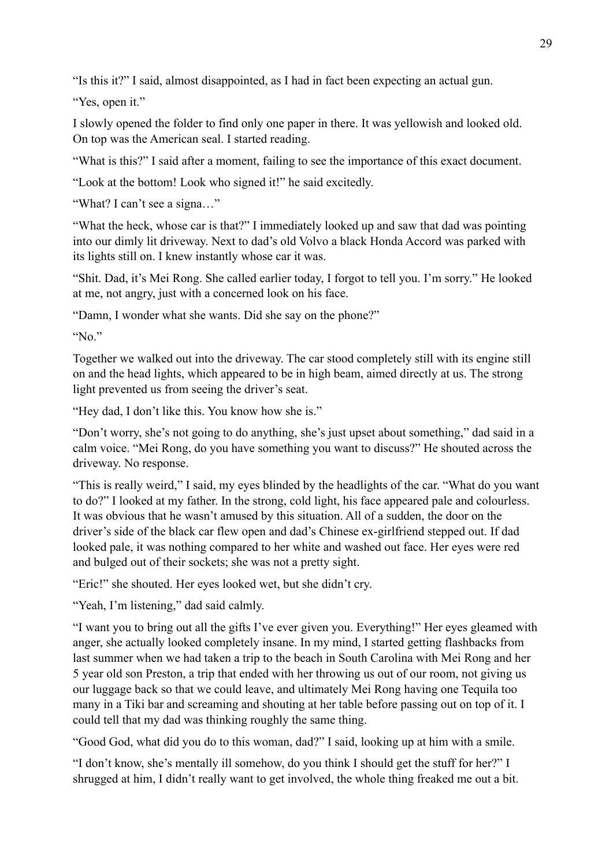"Is this it?" I said, almost disappointed, as I had in fact been expecting an actual gun.

"Yes, open it."

I slowly opened the folder to find only one paper in there. It was yellowish and looked old. On top was the American seal. I started reading.

"What is this?" I said after a moment, failing to see the importance of this exact document.

"Look at the bottom! Look who signed it!" he said excitedly.

"What? I can't see a signa…"

"What the heck, whose car is that?" I immediately looked up and saw that dad was pointing into our dimly lit driveway. Next to dad's old Volvo a black Honda Accord was parked with its lights still on. I knew instantly whose car it was.

"Shit. Dad, it's Mei Rong. She called earlier today, I forgot to tell you. I'm sorry." He looked at me, not angry, just with a concerned look on his face.

"Damn, I wonder what she wants. Did she say on the phone?"

" $No$ "

Together we walked out into the driveway. The car stood completely still with its engine still on and the head lights, which appeared to be in high beam, aimed directly at us. The strong light prevented us from seeing the driver's seat.

"Hey dad, I don't like this. You know how she is."

"Don't worry, she's not going to do anything, she's just upset about something," dad said in a calm voice. "Mei Rong, do you have something you want to discuss?" He shouted across the driveway. No response.

"This is really weird," I said, my eyes blinded by the headlights of the car. "What do you want to do?" I looked at my father. In the strong, cold light, his face appeared pale and colourless. It was obvious that he wasn't amused by this situation. All of a sudden, the door on the driver's side of the black car flew open and dad's Chinese ex-girlfriend stepped out. If dad looked pale, it was nothing compared to her white and washed out face. Her eyes were red and bulged out of their sockets; she was not a pretty sight.

"Eric!" she shouted. Her eyes looked wet, but she didn't cry.

"Yeah, I'm listening," dad said calmly.

"I want you to bring out all the gifts I've ever given you. Everything!" Her eyes gleamed with anger, she actually looked completely insane. In my mind, I started getting flashbacks from last summer when we had taken a trip to the beach in South Carolina with Mei Rong and her 5 year old son Preston, a trip that ended with her throwing us out of our room, not giving us our luggage back so that we could leave, and ultimately Mei Rong having one Tequila too many in a Tiki bar and screaming and shouting at her table before passing out on top of it. I could tell that my dad was thinking roughly the same thing.

"Good God, what did you do to this woman, dad?" I said, looking up at him with a smile.

"I don't know, she's mentally ill somehow, do you think I should get the stuff for her?" I shrugged at him, I didn't really want to get involved, the whole thing freaked me out a bit.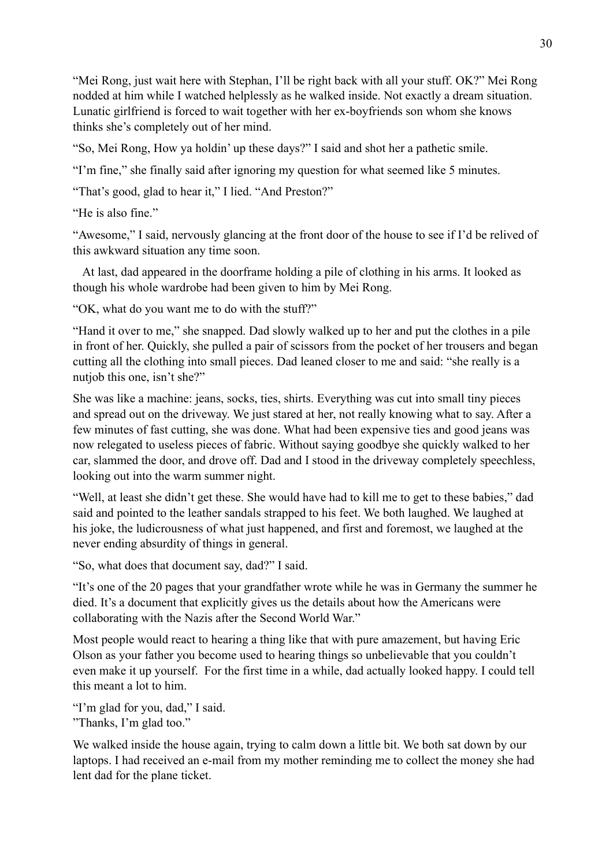"Mei Rong, just wait here with Stephan, I'll be right back with all your stuff. OK?" Mei Rong nodded at him while I watched helplessly as he walked inside. Not exactly a dream situation. Lunatic girlfriend is forced to wait together with her ex-boyfriends son whom she knows thinks she's completely out of her mind.

"So, Mei Rong, How ya holdin' up these days?" I said and shot her a pathetic smile.

"I'm fine," she finally said after ignoring my question for what seemed like 5 minutes.

"That's good, glad to hear it," I lied. "And Preston?"

"He is also fine."

"Awesome," I said, nervously glancing at the front door of the house to see if I'd be relived of this awkward situation any time soon.

At last, dad appeared in the doorframe holding a pile of clothing in his arms. It looked as though his whole wardrobe had been given to him by Mei Rong.

"OK, what do you want me to do with the stuff?"

"Hand it over to me," she snapped. Dad slowly walked up to her and put the clothes in a pile in front of her. Quickly, she pulled a pair of scissors from the pocket of her trousers and began cutting all the clothing into small pieces. Dad leaned closer to me and said: "she really is a nutjob this one, isn't she?"

She was like a machine: jeans, socks, ties, shirts. Everything was cut into small tiny pieces and spread out on the driveway. We just stared at her, not really knowing what to say. After a few minutes of fast cutting, she was done. What had been expensive ties and good jeans was now relegated to useless pieces of fabric. Without saying goodbye she quickly walked to her car, slammed the door, and drove off. Dad and I stood in the driveway completely speechless, looking out into the warm summer night.

"Well, at least she didn't get these. She would have had to kill me to get to these babies," dad said and pointed to the leather sandals strapped to his feet. We both laughed. We laughed at his joke, the ludicrousness of what just happened, and first and foremost, we laughed at the never ending absurdity of things in general.

"So, what does that document say, dad?" I said.

"It's one of the 20 pages that your grandfather wrote while he was in Germany the summer he died. It's a document that explicitly gives us the details about how the Americans were collaborating with the Nazis after the Second World War."

Most people would react to hearing a thing like that with pure amazement, but having Eric Olson as your father you become used to hearing things so unbelievable that you couldn't even make it up yourself. For the first time in a while, dad actually looked happy. I could tell this meant a lot to him.

"I'm glad for you, dad," I said.

"Thanks, I'm glad too."

We walked inside the house again, trying to calm down a little bit. We both sat down by our laptops. I had received an e-mail from my mother reminding me to collect the money she had lent dad for the plane ticket.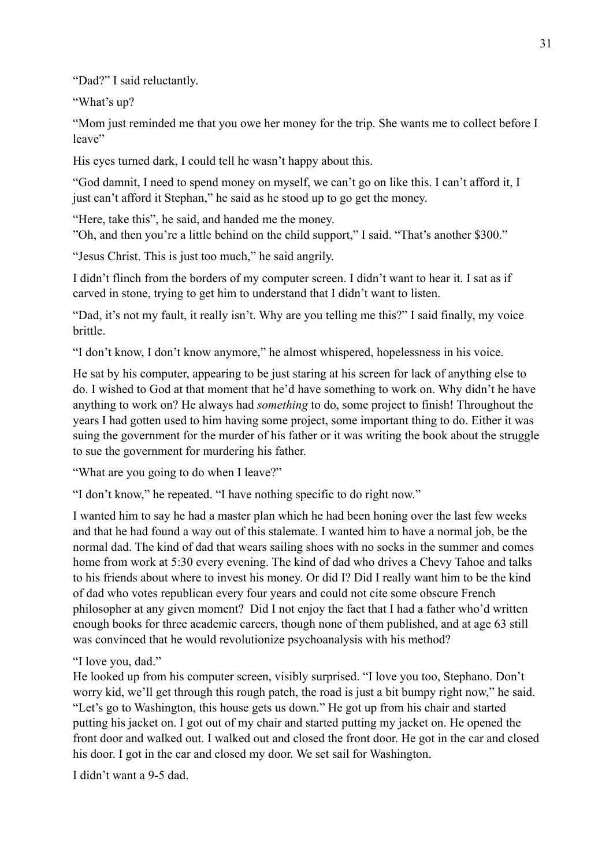"Dad?" I said reluctantly.

"What's up?

"Mom just reminded me that you owe her money for the trip. She wants me to collect before I leave"

His eyes turned dark, I could tell he wasn't happy about this.

"God damnit, I need to spend money on myself, we can't go on like this. I can't afford it, I just can't afford it Stephan," he said as he stood up to go get the money.

"Here, take this", he said, and handed me the money.

"Oh, and then you're a little behind on the child support," I said. "That's another \$300."

"Jesus Christ. This is just too much," he said angrily.

I didn't flinch from the borders of my computer screen. I didn't want to hear it. I sat as if carved in stone, trying to get him to understand that I didn't want to listen.

"Dad, it's not my fault, it really isn't. Why are you telling me this?" I said finally, my voice brittle.

"I don't know, I don't know anymore," he almost whispered, hopelessness in his voice.

He sat by his computer, appearing to be just staring at his screen for lack of anything else to do. I wished to God at that moment that he'd have something to work on. Why didn't he have anything to work on? He always had *something* to do, some project to finish! Throughout the years I had gotten used to him having some project, some important thing to do. Either it was suing the government for the murder of his father or it was writing the book about the struggle to sue the government for murdering his father.

"What are you going to do when I leave?"

"I don't know," he repeated. "I have nothing specific to do right now."

I wanted him to say he had a master plan which he had been honing over the last few weeks and that he had found a way out of this stalemate. I wanted him to have a normal job, be the normal dad. The kind of dad that wears sailing shoes with no socks in the summer and comes home from work at 5:30 every evening. The kind of dad who drives a Chevy Tahoe and talks to his friends about where to invest his money. Or did I? Did I really want him to be the kind of dad who votes republican every four years and could not cite some obscure French philosopher at any given moment? Did I not enjoy the fact that I had a father who'd written enough books for three academic careers, though none of them published, and at age 63 still was convinced that he would revolutionize psychoanalysis with his method?

"I love you, dad."

He looked up from his computer screen, visibly surprised. "I love you too, Stephano. Don't worry kid, we'll get through this rough patch, the road is just a bit bumpy right now," he said. "Let's go to Washington, this house gets us down." He got up from his chair and started putting his jacket on. I got out of my chair and started putting my jacket on. He opened the front door and walked out. I walked out and closed the front door. He got in the car and closed his door. I got in the car and closed my door. We set sail for Washington.

I didn't want a 9-5 dad.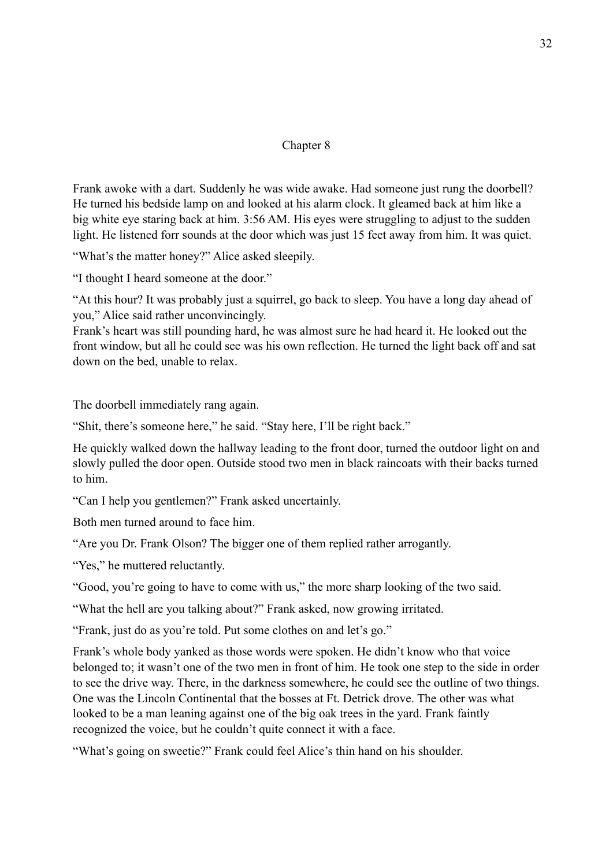# Chapter 8

Frank awoke with a dart. Suddenly he was wide awake. Had someone just rung the doorbell? He turned his bedside lamp on and looked at his alarm clock. It gleamed back at him like a big white eye staring back at him. 3:56 AM. His eyes were struggling to adjust to the sudden light. He listened forr sounds at the door which was just 15 feet away from him. It was quiet.

"What's the matter honey?" Alice asked sleepily.

"I thought I heard someone at the door."

"At this hour? It was probably just a squirrel, go back to sleep. You have a long day ahead of you," Alice said rather unconvincingly.

Frank's heart was still pounding hard, he was almost sure he had heard it. He looked out the front window, but all he could see was his own reflection. He turned the light back off and sat down on the bed, unable to relax.

The doorbell immediately rang again.

"Shit, there's someone here," he said. "Stay here, I'll be right back."

He quickly walked down the hallway leading to the front door, turned the outdoor light on and slowly pulled the door open. Outside stood two men in black raincoats with their backs turned to him.

"Can I help you gentlemen?" Frank asked uncertainly.

Both men turned around to face him.

"Are you Dr. Frank Olson? The bigger one of them replied rather arrogantly.

"Yes," he muttered reluctantly.

"Good, you're going to have to come with us," the more sharp looking of the two said.

"What the hell are you talking about?" Frank asked, now growing irritated.

"Frank, just do as you're told. Put some clothes on and let's go."

Frank's whole body yanked as those words were spoken. He didn't know who that voice belonged to; it wasn't one of the two men in front of him. He took one step to the side in order to see the drive way. There, in the darkness somewhere, he could see the outline of two things. One was the Lincoln Continental that the bosses at Ft. Detrick drove. The other was what looked to be a man leaning against one of the big oak trees in the yard. Frank faintly recognized the voice, but he couldn't quite connect it with a face.

"What's going on sweetie?" Frank could feel Alice's thin hand on his shoulder.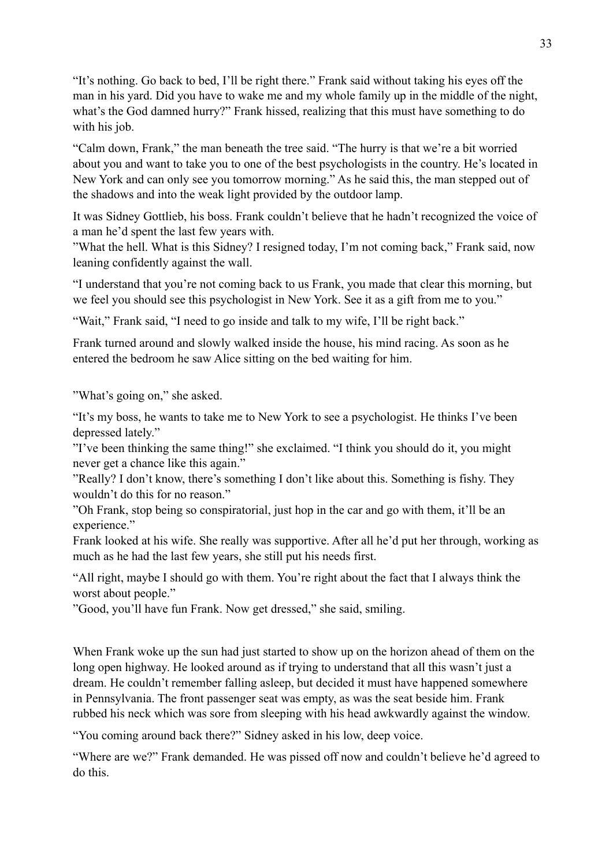"It's nothing. Go back to bed, I'll be right there." Frank said without taking his eyes off the man in his yard. Did you have to wake me and my whole family up in the middle of the night, what's the God damned hurry?" Frank hissed, realizing that this must have something to do with his job.

"Calm down, Frank," the man beneath the tree said. "The hurry is that we're a bit worried about you and want to take you to one of the best psychologists in the country. He's located in New York and can only see you tomorrow morning." As he said this, the man stepped out of the shadows and into the weak light provided by the outdoor lamp.

It was Sidney Gottlieb, his boss. Frank couldn't believe that he hadn't recognized the voice of a man he'd spent the last few years with.

"What the hell. What is this Sidney? I resigned today, I'm not coming back," Frank said, now leaning confidently against the wall.

"I understand that you're not coming back to us Frank, you made that clear this morning, but we feel you should see this psychologist in New York. See it as a gift from me to you."

"Wait," Frank said, "I need to go inside and talk to my wife, I'll be right back."

Frank turned around and slowly walked inside the house, his mind racing. As soon as he entered the bedroom he saw Alice sitting on the bed waiting for him.

"What's going on," she asked.

"It's my boss, he wants to take me to New York to see a psychologist. He thinks I've been depressed lately."

"I've been thinking the same thing!" she exclaimed. "I think you should do it, you might never get a chance like this again."

"Really? I don't know, there's something I don't like about this. Something is fishy. They wouldn't do this for no reason."

"Oh Frank, stop being so conspiratorial, just hop in the car and go with them, it'll be an experience."

Frank looked at his wife. She really was supportive. After all he'd put her through, working as much as he had the last few years, she still put his needs first.

"All right, maybe I should go with them. You're right about the fact that I always think the worst about people."

"Good, you'll have fun Frank. Now get dressed," she said, smiling.

When Frank woke up the sun had just started to show up on the horizon ahead of them on the long open highway. He looked around as if trying to understand that all this wasn't just a dream. He couldn't remember falling asleep, but decided it must have happened somewhere in Pennsylvania. The front passenger seat was empty, as was the seat beside him. Frank rubbed his neck which was sore from sleeping with his head awkwardly against the window.

"You coming around back there?" Sidney asked in his low, deep voice.

"Where are we?" Frank demanded. He was pissed off now and couldn't believe he'd agreed to do this.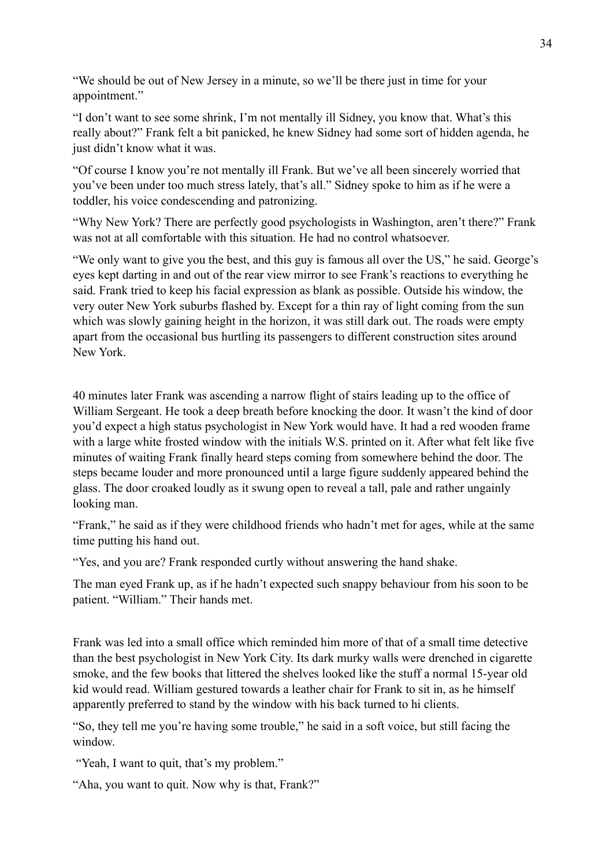"We should be out of New Jersey in a minute, so we'll be there just in time for your appointment."

"I don't want to see some shrink, I'm not mentally ill Sidney, you know that. What's this really about?" Frank felt a bit panicked, he knew Sidney had some sort of hidden agenda, he just didn't know what it was.

"Of course I know you're not mentally ill Frank. But we've all been sincerely worried that you've been under too much stress lately, that's all." Sidney spoke to him as if he were a toddler, his voice condescending and patronizing.

"Why New York? There are perfectly good psychologists in Washington, aren't there?" Frank was not at all comfortable with this situation. He had no control whatsoever.

"We only want to give you the best, and this guy is famous all over the US," he said. George's eyes kept darting in and out of the rear view mirror to see Frank's reactions to everything he said. Frank tried to keep his facial expression as blank as possible. Outside his window, the very outer New York suburbs flashed by. Except for a thin ray of light coming from the sun which was slowly gaining height in the horizon, it was still dark out. The roads were empty apart from the occasional bus hurtling its passengers to different construction sites around New York.

40 minutes later Frank was ascending a narrow flight of stairs leading up to the office of William Sergeant. He took a deep breath before knocking the door. It wasn't the kind of door you'd expect a high status psychologist in New York would have. It had a red wooden frame with a large white frosted window with the initials W.S. printed on it. After what felt like five minutes of waiting Frank finally heard steps coming from somewhere behind the door. The steps became louder and more pronounced until a large figure suddenly appeared behind the glass. The door croaked loudly as it swung open to reveal a tall, pale and rather ungainly looking man.

"Frank," he said as if they were childhood friends who hadn't met for ages, while at the same time putting his hand out.

"Yes, and you are? Frank responded curtly without answering the hand shake.

The man eyed Frank up, as if he hadn't expected such snappy behaviour from his soon to be patient. "William." Their hands met.

Frank was led into a small office which reminded him more of that of a small time detective than the best psychologist in New York City. Its dark murky walls were drenched in cigarette smoke, and the few books that littered the shelves looked like the stuff a normal 15-year old kid would read. William gestured towards a leather chair for Frank to sit in, as he himself apparently preferred to stand by the window with his back turned to hi clients.

"So, they tell me you're having some trouble," he said in a soft voice, but still facing the window.

"Yeah, I want to quit, that's my problem."

"Aha, you want to quit. Now why is that, Frank?"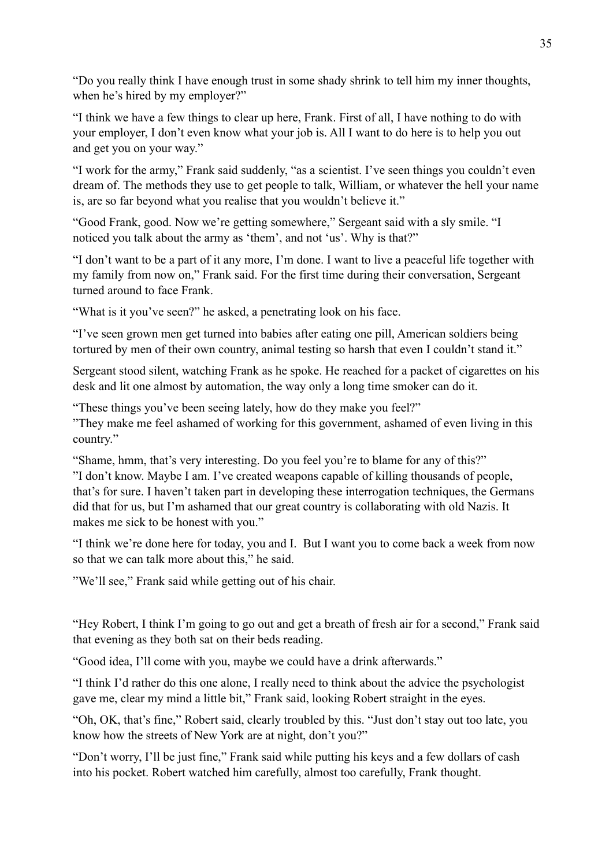"Do you really think I have enough trust in some shady shrink to tell him my inner thoughts, when he's hired by my employer?"

"I think we have a few things to clear up here, Frank. First of all, I have nothing to do with your employer, I don't even know what your job is. All I want to do here is to help you out and get you on your way."

"I work for the army," Frank said suddenly, "as a scientist. I've seen things you couldn't even dream of. The methods they use to get people to talk, William, or whatever the hell your name is, are so far beyond what you realise that you wouldn't believe it."

"Good Frank, good. Now we're getting somewhere," Sergeant said with a sly smile. "I noticed you talk about the army as 'them', and not 'us'. Why is that?"

"I don't want to be a part of it any more, I'm done. I want to live a peaceful life together with my family from now on," Frank said. For the first time during their conversation, Sergeant turned around to face Frank.

"What is it you've seen?" he asked, a penetrating look on his face.

"I've seen grown men get turned into babies after eating one pill, American soldiers being tortured by men of their own country, animal testing so harsh that even I couldn't stand it."

Sergeant stood silent, watching Frank as he spoke. He reached for a packet of cigarettes on his desk and lit one almost by automation, the way only a long time smoker can do it.

"These things you've been seeing lately, how do they make you feel?"

"They make me feel ashamed of working for this government, ashamed of even living in this country."

"Shame, hmm, that's very interesting. Do you feel you're to blame for any of this?" "I don't know. Maybe I am. I've created weapons capable of killing thousands of people, that's for sure. I haven't taken part in developing these interrogation techniques, the Germans did that for us, but I'm ashamed that our great country is collaborating with old Nazis. It makes me sick to be honest with you."

"I think we're done here for today, you and I. But I want you to come back a week from now so that we can talk more about this," he said.

"We'll see," Frank said while getting out of his chair.

"Hey Robert, I think I'm going to go out and get a breath of fresh air for a second," Frank said that evening as they both sat on their beds reading.

"Good idea, I'll come with you, maybe we could have a drink afterwards."

"I think I'd rather do this one alone, I really need to think about the advice the psychologist gave me, clear my mind a little bit," Frank said, looking Robert straight in the eyes.

"Oh, OK, that's fine," Robert said, clearly troubled by this. "Just don't stay out too late, you know how the streets of New York are at night, don't you?"

"Don't worry, I'll be just fine," Frank said while putting his keys and a few dollars of cash into his pocket. Robert watched him carefully, almost too carefully, Frank thought.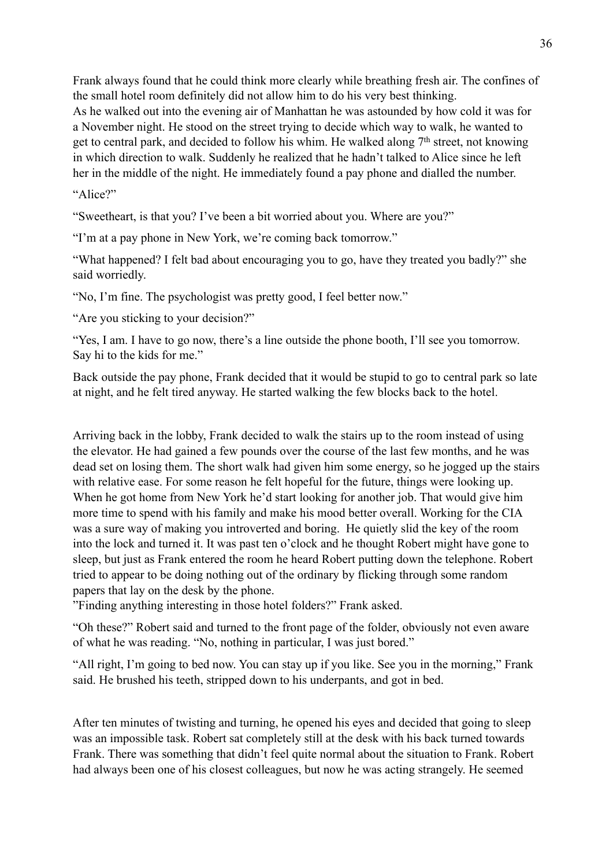Frank always found that he could think more clearly while breathing fresh air. The confines of the small hotel room definitely did not allow him to do his very best thinking. As he walked out into the evening air of Manhattan he was astounded by how cold it was for a November night. He stood on the street trying to decide which way to walk, he wanted to get to central park, and decided to follow his whim. He walked along 7<sup>th</sup> street, not knowing in which direction to walk. Suddenly he realized that he hadn't talked to Alice since he left her in the middle of the night. He immediately found a pay phone and dialled the number.

"Alice?"

"Sweetheart, is that you? I've been a bit worried about you. Where are you?"

"I'm at a pay phone in New York, we're coming back tomorrow."

"What happened? I felt bad about encouraging you to go, have they treated you badly?" she said worriedly.

"No, I'm fine. The psychologist was pretty good, I feel better now."

"Are you sticking to your decision?"

"Yes, I am. I have to go now, there's a line outside the phone booth, I'll see you tomorrow. Say hi to the kids for me."

Back outside the pay phone, Frank decided that it would be stupid to go to central park so late at night, and he felt tired anyway. He started walking the few blocks back to the hotel.

Arriving back in the lobby, Frank decided to walk the stairs up to the room instead of using the elevator. He had gained a few pounds over the course of the last few months, and he was dead set on losing them. The short walk had given him some energy, so he jogged up the stairs with relative ease. For some reason he felt hopeful for the future, things were looking up. When he got home from New York he'd start looking for another job. That would give him more time to spend with his family and make his mood better overall. Working for the CIA was a sure way of making you introverted and boring. He quietly slid the key of the room into the lock and turned it. It was past ten o'clock and he thought Robert might have gone to sleep, but just as Frank entered the room he heard Robert putting down the telephone. Robert tried to appear to be doing nothing out of the ordinary by flicking through some random papers that lay on the desk by the phone.

"Finding anything interesting in those hotel folders?" Frank asked.

"Oh these?" Robert said and turned to the front page of the folder, obviously not even aware of what he was reading. "No, nothing in particular, I was just bored."

"All right, I'm going to bed now. You can stay up if you like. See you in the morning," Frank said. He brushed his teeth, stripped down to his underpants, and got in bed.

After ten minutes of twisting and turning, he opened his eyes and decided that going to sleep was an impossible task. Robert sat completely still at the desk with his back turned towards Frank. There was something that didn't feel quite normal about the situation to Frank. Robert had always been one of his closest colleagues, but now he was acting strangely. He seemed